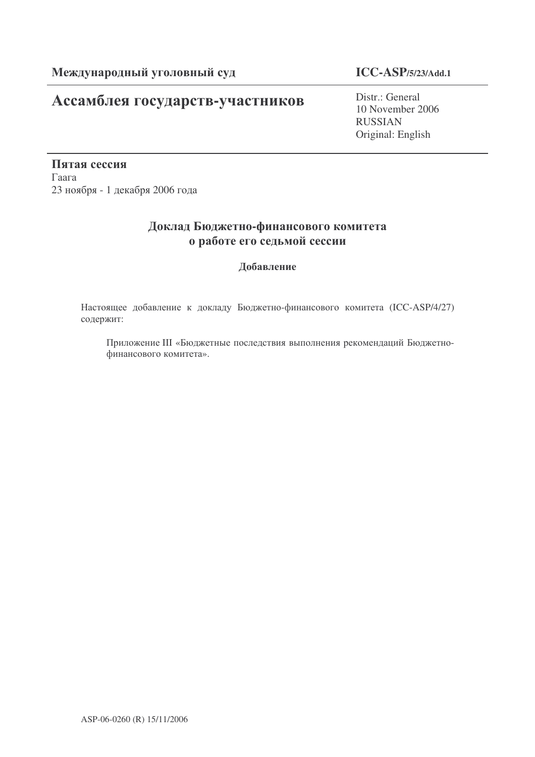# Ассамблея государств-участников

**ICC-ASP/5/23/Add.1**

Distr.: General 10 November 2006 RUSSIAN Original: English

Пятая сессия  $\Gamma$ аага 23 ноября - 1 декабря 2006 года

## Доклад Бюджетно-финансового комитета о работе его седьмой сессии

## Добавление

Настоящее добавление к докладу Бюджетно-финансового комитета (ICC-ASP/4/27) содержит:

Приложение III «Бюджетные последствия выполнения рекомендаций Бюджетнофинансового комитета».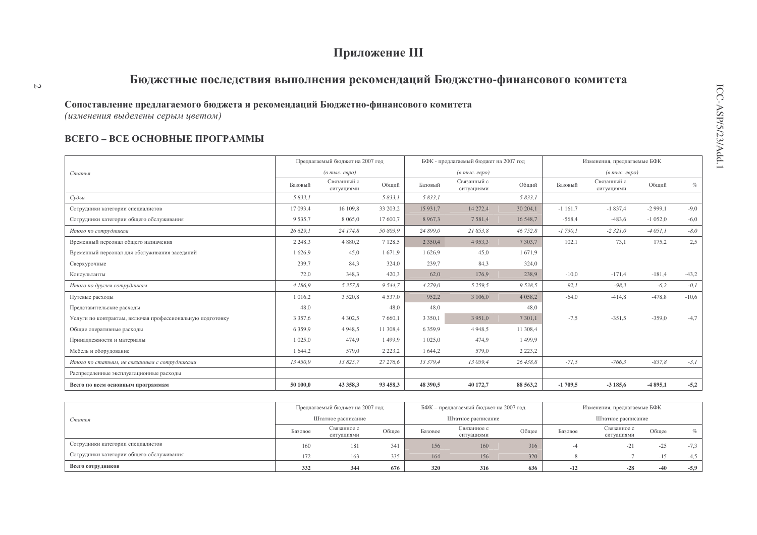# Приложение III

# Бюджетные последствия выполнения рекомендаций Бюджетно-финансового комитета

#### Сопоставление предлагаемого бюджета и рекомендаций Бюджетно-финансового комитета

(изменения выделены серым цветом)

 $\mathcal{L}$ 

## ВСЕГО - ВСЕ ОСНОВНЫЕ ПРОГРАММЫ

|                                                           |             | Предлагаемый бюджет на 2007 год                |             |             | БФК - предлагаемый бюджет на 2007 год  |             |           | Изменения, предлагаемые БФК       |           |         |
|-----------------------------------------------------------|-------------|------------------------------------------------|-------------|-------------|----------------------------------------|-------------|-----------|-----------------------------------|-----------|---------|
| Статья                                                    |             | $(a \text{ mol.} \text{ e}\text{e} \text{po})$ |             |             | $(e$ m <sub>bl</sub> $c$ . $e$ e $po)$ |             |           | $(a \text{ mole. } e \text{spo})$ |           |         |
|                                                           | Базовый     | Связанный с<br>ситуациями                      | Обший       | Базовый     | Связанный с<br>ситуациями              | Общий       | Базовый   | Связанный с<br>ситуациями         | Обший     | $\%$    |
| Судьи                                                     | 5 833,1     |                                                | 5 833,1     | 5 833,1     |                                        | 5 833,1     |           |                                   |           |         |
| Сотрудники категории специалистов                         | 17 093,4    | 16 109,8                                       | 33 203,2    | 15 931,7    | 14 272,4                               | 30 204,1    | $-1161,7$ | $-1837,4$                         | $-2999,1$ | $-9,0$  |
| Сотрудники категории общего обслуживания                  | 9535,7      | 8 0 6 5 , 0                                    | 17 600,7    | 8 9 6 7 3   | 7581,4                                 | 16 548,7    | $-568,4$  | $-483,6$                          | $-1052,0$ | $-6,0$  |
| Итого по сотрудникам                                      | 26 629,1    | 24 174,8                                       | 50 803,9    | 24 899,0    | 21 853,8                               | 46 752,8    | $-1730,1$ | $-2321,0$                         | $-4051,1$ | $-8,0$  |
| Временный персонал общего назначения                      | 2 2 4 8 , 3 | 4 8 8 0 , 2                                    | 7 1 28,5    | 2 3 5 0 , 4 | 4953,3                                 | 7 3 0 3 .7  | 102,1     | 73,1                              | 175,2     | 2,5     |
| Временный персонал для обслуживания заседаний             | 1626,9      | 45,0                                           | 1671,9      | 1626.9      | 45,0                                   | 1671,9      |           |                                   |           |         |
| Сверхурочные                                              | 239,7       | 84,3                                           | 324,0       | 239,7       | 84,3                                   | 324,0       |           |                                   |           |         |
| Консультанты                                              | 72,0        | 348,3                                          | 420,3       | 62,0        | 176,9                                  | 238,9       | $-10,0$   | $-171,4$                          | $-181,4$  | $-43,2$ |
| Итого по другим сотрудникам                               | 4 186,9     | 5 3 5 7, 8                                     | 9 5 4 4, 7  | 4 2 7 9 , 0 | 5 2 5 9 , 5                            | 9538,5      | 92,1      | $-98.3$                           | $-6,2$    | $-0,1$  |
| Путевые расходы                                           | 1 0 1 6 , 2 | 3 5 2 0 , 8                                    | 4 5 3 7 , 0 | 952,2       | 3 106,0                                | 4 0 5 8 , 2 | $-64,0$   | $-414,8$                          | $-478.8$  | $-10,6$ |
| Представительские расходы                                 | 48,0        |                                                | 48,0        | 48,0        |                                        | 48,0        |           |                                   |           |         |
| Услуги по контрактам, включая профессиональную подготовку | 3 3 5 7 , 6 | 4 3 0 2 .5                                     | 7 660,1     | 3 3 5 0 , 1 | 3 9 5 1 , 0                            | 7 301,1     | $-7,5$    | $-351.5$                          | $-359,0$  | $-4,7$  |
| Общие оперативные расходы                                 | 6 3 5 9 . 9 | 4 9 4 8 , 5                                    | 11 308,4    | 6 3 5 9 9   | 4 9 4 8 .5                             | 11 308,4    |           |                                   |           |         |
| Принадлежности и материалы                                | 1 0 2 5 , 0 | 474,9                                          | 1 499,9     | 1 0 2 5 .0  | 474.9                                  | 1 4 9 9 , 9 |           |                                   |           |         |
| Мебель и оборудование                                     | 1 644,2     | 579,0                                          | 2 2 2 3 , 2 | 1 644,2     | 579,0                                  | 2 2 2 3 , 2 |           |                                   |           |         |
| Итого по статьям, не связанным с сотрудниками             | 13 450,9    | 13825,7                                        | 27 276,6    | 13 379,4    | 13 059,4                               | 26 438.8    | $-71,5$   | $-766,3$                          | $-837,8$  | $-3,1$  |
| Распределенные эксплуатационные расходы                   |             |                                                |             |             |                                        |             |           |                                   |           |         |
| Всего по всем основным программам                         | 50 100.0    | 43 358,3                                       | 93 458,3    | 48 390.5    | 40 172,7                               | 88 563,2    | $-1709.5$ | $-3185.6$                         | $-4895,1$ | $-5,2$  |

|                                          |         | Предлагаемый бюджет на 2007 год |       |         | БФК – предлагаемый бюджет на 2007 год |       |         | Изменения, предлагаемые БФК |       |                   |
|------------------------------------------|---------|---------------------------------|-------|---------|---------------------------------------|-------|---------|-----------------------------|-------|-------------------|
| Статья                                   |         | Штатное расписание              |       |         | Штатное расписание                    |       |         | Штатное расписание          |       |                   |
|                                          | Базовое | Связанное с<br>ситуациями       | Общее | Базовое | Связанное с<br>ситуациями             | Общее | Базовое | Связанное с<br>ситуациями   | Общее | $\sigma_{\alpha}$ |
| Сотрудники категории специалистов        | 160     | 181                             | 341   | 156     | 160                                   | 316   |         | $-21$                       | $-25$ | $-7.3$            |
| Сотрудники категории общего обслуживания | 172     | 163                             | 335   | 164     | 156                                   | 320   |         |                             |       | $-45$             |
| Всего сотрудников                        | 332     | 344                             | 676   | 320     | 316                                   | 636   | $-12$   | $-28$                       | $-40$ | $-5.9$            |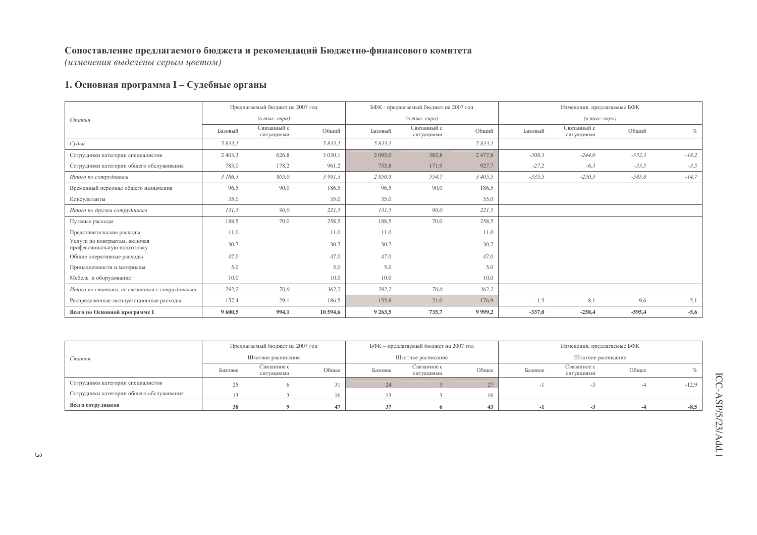(изменения выделены серым цветом)

## 1. Основная программа I - Судебные органы

|                                                              |             | Предлагаемый бюджет на 2007 год |             |             | БФК - предлагаемый бюджет на 2007 год |           |          | Изменения, предлагаемые БФК                        |          |         |
|--------------------------------------------------------------|-------------|---------------------------------|-------------|-------------|---------------------------------------|-----------|----------|----------------------------------------------------|----------|---------|
| Статья                                                       |             | $(a$ тыс. евро)                 |             |             | $(e \text{ molc.} \text{ eepo})$      |           |          | $(\epsilon$ m <sub>bl</sub> c. $\epsilon$ egpo $)$ |          |         |
|                                                              | Базовый     | Связанный с<br>ситуациями       | Общий       | Базовый     | Связанный с<br>ситуациями             | Общий     | Базовый  | Связанный с<br>ситуациями                          | Общий    | $\%$    |
| Судьи                                                        | 5 833.1     |                                 | 5 833,1     | 5 833,1     |                                       | 5 833,1   |          |                                                    |          |         |
| Сотрудники категории специалистов                            | 2 4 0 3 , 3 | 626,8                           | 3 0 3 0 , 1 | 2 0 9 5 , 0 | 382,8                                 | 2 477,8   | $-308,3$ | $-244,0$                                           | $-552,3$ | $-18,2$ |
| Сотрудники категории общего обслуживания                     | 783,0       | 178,2                           | 961,2       | 755,8       | 171,9                                 | 927,7     | $-27,2$  | $-6,3$                                             | $-33,5$  | $-3,5$  |
| Итого по сотрудникам                                         | 3 186,3     | 805,0                           | 3 9 9 1 , 3 | 2 850,8     | 554,7                                 | 3 405,5   | $-335,5$ | $-250,3$                                           | $-585,8$ | $-14,7$ |
| Временный персонал общего назначения                         | 96,5        | 90,0                            | 186,5       | 96,5        | 90,0                                  | 186,5     |          |                                                    |          |         |
| Консультанты                                                 | 35,0        |                                 | 35,0        | 35,0        |                                       | 35,0      |          |                                                    |          |         |
| Итого по другим сотрудникам                                  | 131,5       | 90,0                            | 221,5       | 131,5       | 90,0                                  | 221,5     |          |                                                    |          |         |
| Путевые расходы                                              | 188,5       | 70,0                            | 258.5       | 188.5       | 70.0                                  | 258.5     |          |                                                    |          |         |
| Представительские расходы                                    | 11,0        |                                 | 11,0        | 11,0        |                                       | 11,0      |          |                                                    |          |         |
| Услуги по контрактам, включая<br>профессиональную подготовку | 30,7        |                                 | 30,7        | 30,7        |                                       | 30,7      |          |                                                    |          |         |
| Общие оперативные расходы                                    | 47,0        |                                 | 47,0        | 47,0        |                                       | 47,0      |          |                                                    |          |         |
| Принадлежности и материалы                                   | 5,0         |                                 | 5,0         | 5,0         |                                       | 5,0       |          |                                                    |          |         |
| Мебель и оборудование                                        | 10,0        |                                 | 10,0        | 10,0        |                                       | 10,0      |          |                                                    |          |         |
| Итого по статьям, не связанным с сотрудниками                | 292,2       | 70,0                            | 362,2       | 292,2       | 70,0                                  | 362,2     |          |                                                    |          |         |
| Распределенные эксплуатационные расходы                      | 157,4       | 29,1                            | 186,5       | 155,9       | 21,0                                  | 176,9     | $-1,5$   | $-8,1$                                             | $-9,6$   | $-5,1$  |
| Всего по Основной программе I                                | 9600,5      | 994,1                           | 10 594,6    | 9 2 6 3 , 5 | 735,7                                 | 9 9 9 9 2 | $-337,0$ | $-258,4$                                           | $-595,4$ | $-5,6$  |

|                                          |                    | Предлагаемый бюджет на 2007 год |       |         | БФК - предлагаемый бюджет на 2007 год |       |         | Изменения, предлагаемые БФК |       |         |
|------------------------------------------|--------------------|---------------------------------|-------|---------|---------------------------------------|-------|---------|-----------------------------|-------|---------|
| Статья                                   | Штатное расписание |                                 |       |         | Штатное расписание                    |       |         | Штатное расписание          |       |         |
|                                          | Базовое            | Связанное с<br>ситуациями       | Общее | Базовое | Связанное с<br>ситуациями             | Общее | Базовое | Связанное с<br>ситуациями   | Общее |         |
| Сотрудники категории специалистов        | 25                 |                                 |       | 24      |                                       | 27    |         |                             |       | $-12,9$ |
| Сотрудники категории общего обслуживания |                    |                                 |       |         |                                       | 16    |         |                             |       |         |
| Всего сотрудников                        |                    |                                 |       |         |                                       |       |         |                             |       | $-8.5$  |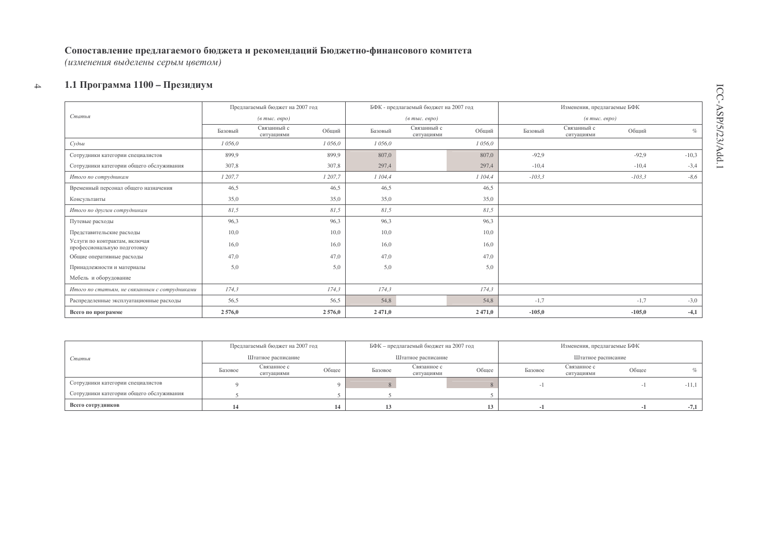(изменения выделены серым цветом)

#### $\rightarrow$ 1.1 Программа 1100 – Президиум

|                                                              |         | Предлагаемый бюджет на 2007 год    |         | БФК - предлагаемый бюджет на 2007 год              |          | Изменения, предлагаемые БФК        |         |
|--------------------------------------------------------------|---------|------------------------------------|---------|----------------------------------------------------|----------|------------------------------------|---------|
| Статья                                                       |         | $($ в тыс. евро)                   |         | $(\epsilon$ m <sub>bl</sub> c. $\epsilon$ egpo $)$ |          | $(a$ тыс. евро)                    |         |
|                                                              | Базовый | Связанный с<br>Общий<br>ситуациями | Базовый | Связанный с<br>Общий<br>ситуациями                 | Базовый  | Связанный с<br>Общий<br>ситуациями | $\%$    |
| Судьи                                                        | 1056,0  | 1 056.0                            | 1 056,0 | 1 056,0                                            |          |                                    |         |
| Сотрудники категории специалистов                            | 899,9   | 899,9                              | 807,0   | 807,0                                              | $-92,9$  | $-92,9$                            | $-10,3$ |
| Сотрудники категории общего обслуживания                     | 307,8   | 307,8                              | 297.4   | 297,4                                              | $-10,4$  | $-10,4$                            | $-3,4$  |
| Итого по сотрудникам                                         | 1 207,7 | 1 207,7                            | 1104,4  | 1 104,4                                            | $-103,3$ | $-103,3$                           | $-8,6$  |
| Временный персонал общего назначения                         | 46,5    | 46,5                               | 46,5    | 46,5                                               |          |                                    |         |
| Консультанты                                                 | 35,0    | 35,0                               | 35,0    | 35,0                                               |          |                                    |         |
| Итого по другим сотрудникам                                  | 81,5    | 81,5                               | 81,5    | 81,5                                               |          |                                    |         |
| Путевые расходы                                              | 96,3    | 96.3                               | 96,3    | 96,3                                               |          |                                    |         |
| Представительские расходы                                    | 10.0    | 10,0                               | 10,0    | 10,0                                               |          |                                    |         |
| Услуги по контрактам, включая<br>профессиональную подготовку | 16,0    | 16,0                               | 16,0    | 16,0                                               |          |                                    |         |
| Общие оперативные расходы                                    | 47,0    | 47,0                               | 47,0    | 47,0                                               |          |                                    |         |
| Принадлежности и материалы                                   | 5,0     | 5,0                                | 5,0     | 5,0                                                |          |                                    |         |
| Мебель и оборудование                                        |         |                                    |         |                                                    |          |                                    |         |
| Итого по статьям, не связанным с сотрудниками                | 174,3   | 174,3                              | 174,3   | 174,3                                              |          |                                    |         |
| Распределенные эксплуатационные расходы                      | 56,5    | 56,5                               | 54,8    | 54,8                                               | $-1,7$   | $-1,7$                             | $-3,0$  |
| Всего по программе                                           | 2576,0  | 2576,0                             | 2 471,0 | 2471,0                                             | $-105,0$ | $-105,0$                           | $-4,1$  |

|                                          |                    | Предлагаемый бюджет на 2007 год |       |         | БФК - предлагаемый бюджет на 2007 год |       |         | Изменения, предлагаемые БФК |       |         |
|------------------------------------------|--------------------|---------------------------------|-------|---------|---------------------------------------|-------|---------|-----------------------------|-------|---------|
| Статья                                   | Штатное расписание |                                 |       |         | Штатное расписание                    |       |         | Штатное расписание          |       |         |
|                                          | Базовое            | Связанное с<br>ситуациями       | Общее | Базовое | Связанное с<br>ситуациями             | Общее | Базовое | Связанное с<br>ситуациями   | Общее |         |
| Сотрудники категории специалистов        |                    |                                 |       |         |                                       |       |         |                             |       | $-11,1$ |
| Сотрудники категории общего обслуживания |                    |                                 |       |         |                                       |       |         |                             |       |         |
| Всего сотрудников                        |                    |                                 |       |         |                                       |       |         |                             |       | $-7,1$  |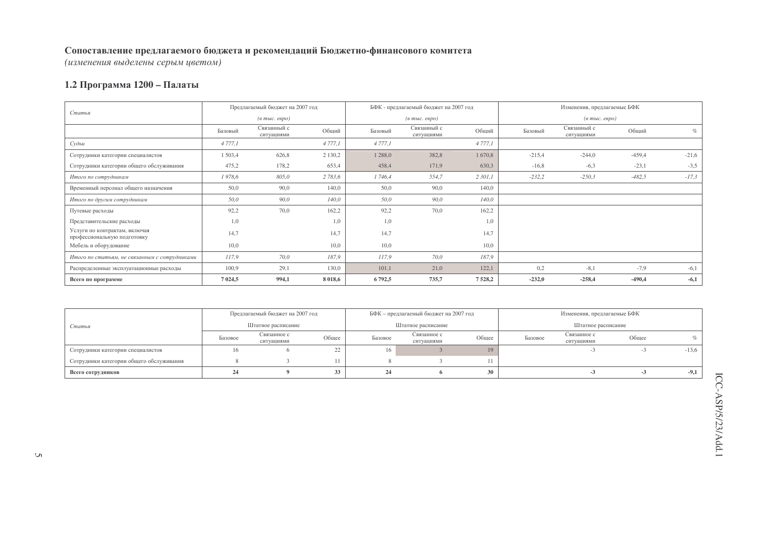(изменения выделены серым цветом)

#### 1.2 Программа 1200 – Палаты

| Статья                                                       | Предлагаемый бюджет на 2007 год |                                  |             |             | БФК - предлагаемый бюджет на 2007 год |            |          | Изменения, предлагаемые БФК       |          |         |
|--------------------------------------------------------------|---------------------------------|----------------------------------|-------------|-------------|---------------------------------------|------------|----------|-----------------------------------|----------|---------|
|                                                              |                                 | $(a \text{ molc.} \text{ espo})$ |             |             | $(a \text{ molc.} \text{ espo})$      |            |          | $(a \text{ mole. } e \text{spo})$ |          |         |
|                                                              | Базовый                         | Связанный с<br>ситуациями        | Общий       | Базовый     | Связанный с<br>ситуациями             | Общий      | Базовый  | Связанный с<br>ситуациями         | Общий    | $\%$    |
| Судьи                                                        | 4 777,1                         |                                  | 4 7 7 7, 1  | 4 7 7 7 , 1 |                                       | 4 7 7 7 .1 |          |                                   |          |         |
| Сотрудники категории специалистов                            | 1 503,4                         | 626,8                            | 2 1 3 0 , 2 | 1 2 8 8 , 0 | 382,8                                 | 1670,8     | $-215,4$ | $-244,0$                          | $-459,4$ | $-21,6$ |
| Сотрудники категории общего обслуживания                     | 475,2                           | 178,2                            | 653,4       | 458,4       | 171,9                                 | 630,3      | $-16,8$  | $-6,3$                            | $-23,1$  | $-3,5$  |
| Итого по сотрудникам                                         | 1978,6                          | 805,0                            | 2783,6      | 1746,4      | 554,7                                 | 2 301,1    | $-232,2$ | $-250,3$                          | $-482,5$ | $-17,3$ |
| Временный персонал общего назначения                         | 50,0                            | 90,0                             | 140,0       | 50,0        | 90,0                                  | 140,0      |          |                                   |          |         |
| Итого по другим сотрудникам                                  | 50,0                            | 90,0                             | 140,0       | 50,0        | 90,0                                  | 140,0      |          |                                   |          |         |
| Путевые расходы                                              | 92,2                            | 70,0                             | 162,2       | 92,2        | 70,0                                  | 162,2      |          |                                   |          |         |
| Представительские расходы                                    | 1,0                             |                                  | 1,0         | 1,0         |                                       | 1,0        |          |                                   |          |         |
| Услуги по контрактам, включая<br>профессиональную подготовку | 14,7                            |                                  | 14,7        | 14,7        |                                       | 14,7       |          |                                   |          |         |
| Мебель и оборудование                                        | 10,0                            |                                  | 10,0        | 10,0        |                                       | 10,0       |          |                                   |          |         |
| Итого по статьям, не связанным с сотрудниками                | 117,9                           | 70,0                             | 187,9       | 117,9       | 70,0                                  | 187,9      |          |                                   |          |         |
| Распределенные эксплуатационные расходы                      | 100,9                           | 29,1                             | 130,0       | 101,1       | 21,0                                  | 122,1      | 0,2      | $-8,1$                            | $-7,9$   | $-6,1$  |
| Всего по программе                                           | 7 0 2 4 , 5                     | 994,1                            | 8 0 18,6    | 6792,5      | 735,7                                 | 7528,2     | $-232,0$ | $-258,4$                          | $-490,4$ | $-6,1$  |

|                                          | Предлагаемый бюджет на 2007 год |                           |       |                    | БФК – предлагаемый бюджет на 2007 год |       |                    | Изменения, предлагаемые БФК |       |         |
|------------------------------------------|---------------------------------|---------------------------|-------|--------------------|---------------------------------------|-------|--------------------|-----------------------------|-------|---------|
| Статья                                   | Штатное расписание              |                           |       | Штатное расписание |                                       |       | Штатное расписание |                             |       |         |
|                                          | Базовое                         | Связанное с<br>ситуациями | Обшее | Базовое            | Связанное с<br>ситуациями             | Обшее | Базовое            | Связанное с<br>ситуациями   | Общее |         |
| Сотрудники категории специалистов        | 16.                             |                           | 22    | 16                 |                                       |       |                    |                             |       | $-13,6$ |
| Сотрудники категории общего обслуживания |                                 |                           |       |                    |                                       |       |                    |                             |       |         |
| Всего сотрудников                        |                                 |                           | 33    | 24                 |                                       |       |                    |                             |       | $-9,1$  |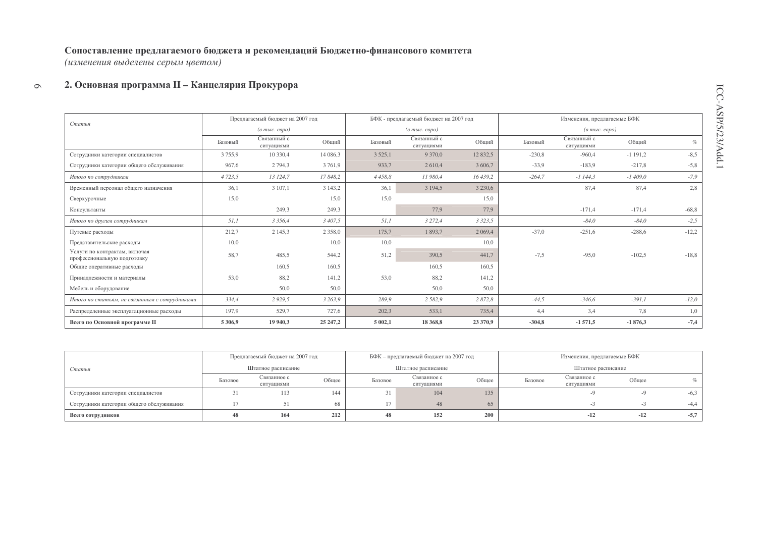(изменения выделены серым цветом)

#### 2. Основная программа II - Канцелярия Прокурора  $\circ$

|                                                              |           | Предлагаемый бюджет на 2007 год  |             |             | БФК - предлагаемый бюджет на 2007 год              |             |          | Изменения, предлагаемые БФК                    |            |         |
|--------------------------------------------------------------|-----------|----------------------------------|-------------|-------------|----------------------------------------------------|-------------|----------|------------------------------------------------|------------|---------|
| Статья                                                       |           | $(a \text{ molc.} \text{ espo})$ |             |             | $(\epsilon$ m <sub>bl</sub> $c$ , e $\epsilon$ po) |             |          | $(e$ m <sub>bl</sub> $c$ . $e$ $e$ $p$ $o$ $)$ |            |         |
|                                                              | Базовый   | Связанный с<br>ситуациями        | Общий       | Базовый     | Связанный с<br>ситуациями                          | Общий       | Базовый  | Связанный с<br>ситуациями                      | Обший      | $\%$    |
| Сотрудники категории специалистов                            | 3755,9    | 10 330,4                         | 14 086.3    | 3 5 2 5 , 1 | 9 3 7 0 .0                                         | 12 832.5    | $-230,8$ | $-960.4$                                       | $-1$ 191,2 | $-8,5$  |
| Сотрудники категории общего обслуживания                     | 967,6     | 2 7 9 4 3                        | 3761,9      | 933,7       | 2 6 1 0.4                                          | 3 606.7     | $-33.9$  | $-183.9$                                       | $-217,8$   | $-5,8$  |
| Итого по сотрудникам                                         | 4 7 23, 5 | 13 124,7                         | 17848,2     | 4 4 5 8, 8  | 11 980,4                                           | 16 439,2    | $-264,7$ | $-1144,3$                                      | $-1409,0$  | $-7,9$  |
| Временный персонал общего назначения                         | 36,1      | 3 107,1                          | 3 1 4 3 , 2 | 36,1        | 3 194,5                                            | 3 2 3 0 , 6 |          | 87,4                                           | 87,4       | 2,8     |
| Сверхурочные                                                 | 15,0      |                                  | 15,0        | 15,0        |                                                    | 15.0        |          |                                                |            |         |
| Консультанты                                                 |           | 249,3                            | 249.3       |             | 77.9                                               | 77.9        |          | $-171.4$                                       | $-171.4$   | $-68,8$ |
| Итого по другим сотрудникам                                  | 51,1      | 3 3 5 6, 4                       | 3 407,5     | 51,1        | 3 2 7 2, 4                                         | 3 3 2 3 , 5 |          | $-84,0$                                        | $-84,0$    | $-2,5$  |
| Путевые расходы                                              | 212,7     | 2 1 4 5 , 3                      | 2 3 5 8 , 0 | 175,7       | 1893,7                                             | 2 0 6 9,4   | $-37,0$  | $-251,6$                                       | $-288,6$   | $-12,2$ |
| Представительские расходы                                    | 10,0      |                                  | 10,0        | 10,0        |                                                    | 10,0        |          |                                                |            |         |
| Услуги по контрактам, включая<br>профессиональную подготовку | 58.7      | 485.5                            | 544,2       | 51,2        | 390.5                                              | 441,7       | $-7,5$   | $-95,0$                                        | $-102,5$   | $-18.8$ |
| Общие оперативные расходы                                    |           | 160,5                            | 160,5       |             | 160,5                                              | 160,5       |          |                                                |            |         |
| Принадлежности и материалы                                   | 53,0      | 88,2                             | 141,2       | 53,0        | 88,2                                               | 141,2       |          |                                                |            |         |
| Мебель и оборудование                                        |           | 50,0                             | 50,0        |             | 50,0                                               | 50,0        |          |                                                |            |         |
| Итого по статьям, не связанным с сотрудниками                | 334,4     | 2 9 2 9 5                        | 3 263,9     | 289,9       | 2 5 8 2, 9                                         | 2 872,8     | $-44,5$  | $-346,6$                                       | $-391,1$   | $-12,0$ |
| Распределенные эксплуатационные расходы                      | 197,9     | 529,7                            | 727,6       | 202,3       | 533,1                                              | 735,4       | 4,4      | 3,4                                            | 7,8        | 1,0     |
| Всего по Основной программе II                               | 5 306,9   | 19 940,3                         | 25 247,2    | 5 002,1     | 18 368,8                                           | 23 370,9    | $-304,8$ | $-1571,5$                                      | $-1876,3$  | $-7,4$  |

|                                          |                    | Предлагаемый бюджет на 2007 год |       |         | БФК - предлагаемый бюджет на 2007 год |       |         | Изменения, предлагаемые БФК |       |        |
|------------------------------------------|--------------------|---------------------------------|-------|---------|---------------------------------------|-------|---------|-----------------------------|-------|--------|
| Статья                                   | Штатное расписание |                                 |       |         | Штатное расписание                    |       |         | Штатное расписание          |       |        |
|                                          | Базовое            | Связанное с<br>ситуациями       | Общее | Базовое | Связанное с<br>ситуациями             | Обшее | Базовое | Связанное с<br>ситуациями   | Общее |        |
| Сотрудники категории специалистов        |                    | 113                             | 144   |         | 104                                   | 135   |         |                             |       | $-6,3$ |
| Сотрудники категории общего обслуживания |                    |                                 | 68    | 17      | 48                                    | 65    |         |                             |       | $-4.4$ |
| Всего сотрудников                        |                    | 164                             | 212   | 48      | 152                                   | 200   |         | $-12$                       | $-12$ | $-5,7$ |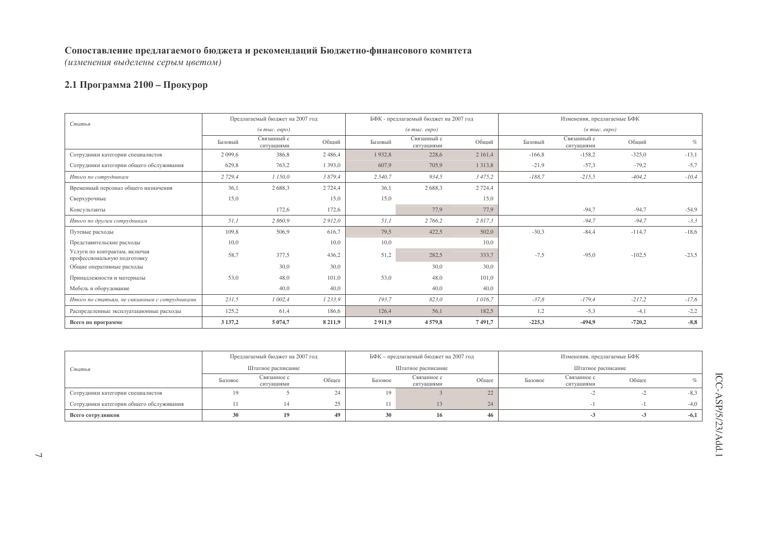(изменения выделены серым цветом)

## 2.1 Программа 2100 - Прокурор

|                                                              |             | Предлагаемый бюджет на 2007 год                    |             |         | БФК - предлагаемый бюджет на 2007 год              |             |          | Изменения, предлагаемые БФК             |          |         |
|--------------------------------------------------------------|-------------|----------------------------------------------------|-------------|---------|----------------------------------------------------|-------------|----------|-----------------------------------------|----------|---------|
| Статья                                                       |             | $(\epsilon$ m <sub>bl</sub> $c$ , e $\epsilon$ po) |             |         | $(\epsilon$ m <sub>bl</sub> $c$ , e $\epsilon$ po) |             |          | $(e$ m <sub>bl</sub> $c$ . $e$ e $po$ ) |          |         |
|                                                              | Базовый     | Связанный с<br>ситуациями                          | Общий       | Базовый | Связанный с<br>ситуациями                          | Общий       | Базовый  | Связанный с<br>ситуациями               | Обший    | $\%$    |
| Сотрудники категории специалистов                            | 2 0 9 9 , 6 | 386,8                                              | 2486,4      | 1932,8  | 228,6                                              | 2 161,4     | $-166,8$ | $-158,2$                                | $-325,0$ | $-13,1$ |
| Сотрудники категории общего обслуживания                     | 629.8       | 763,2                                              | 1 3 9 3 , 0 | 607,9   | 705.9                                              | 1 3 1 3 , 8 | $-21,9$  | $-57,3$                                 | $-79.2$  | $-5,7$  |
| Итого по сотрудникам                                         | 2 7 2 9 4   | 1 150,0                                            | 3879.4      | 2 540,7 | 934,5                                              | 3 4 7 5 , 2 | $-188,7$ | $-215,5$                                | $-404,2$ | $-10,4$ |
| Временный персонал общего назначения                         | 36,1        | 2688,3                                             | 2 7 2 4 .4  | 36,1    | 2688,3                                             | 2 7 2 4 4   |          |                                         |          |         |
| Сверхурочные                                                 | 15,0        |                                                    | 15,0        | 15,0    |                                                    | 15,0        |          |                                         |          |         |
| Консультанты                                                 |             | 172,6                                              | 172,6       |         | 77.9                                               | 77.9        |          | $-94,7$                                 | $-94,7$  | $-54,9$ |
| Итого по другим сотрудникам                                  | 51,1        | 2 860,9                                            | 2912.0      | 51,1    | 2 766,2                                            | 2 817,3     |          | $-94,7$                                 | $-94,7$  | $-3,3$  |
| Путевые расходы                                              | 109,8       | 506,9                                              | 616,7       | 79,5    | 422,5                                              | 502,0       | $-30.3$  | $-84,4$                                 | $-114,7$ | $-18,6$ |
| Представительские расходы                                    | 10,0        |                                                    | 10,0        | 10,0    |                                                    | 10,0        |          |                                         |          |         |
| Услуги по контрактам, включая<br>профессиональную подготовку | 58,7        | 377,5                                              | 436,2       | 51,2    | 282,5                                              | 333,7       | $-7,5$   | $-95,0$                                 | $-102,5$ | $-23,5$ |
| Общие оперативные расходы                                    |             | 30,0                                               | 30.0        |         | 30,0                                               | 30.0        |          |                                         |          |         |
| Принадлежности и материалы                                   | 53,0        | 48,0                                               | 101,0       | 53,0    | 48,0                                               | 101,0       |          |                                         |          |         |
| Мебель и оборудование                                        |             | 40,0                                               | 40,0        |         | 40,0                                               | 40,0        |          |                                         |          |         |
| Итого по статьям, не связанным с сотрудниками                | 231,5       | 1 002,4                                            | 1233,9      | 193,7   | 823,0                                              | 1016,7      | $-37.8$  | $-179,4$                                | $-217,2$ | $-17,6$ |
| Распределенные эксплуатационные расходы                      | 125,2       | 61,4                                               | 186,6       | 126,4   | 56,1                                               | 182,5       | 1,2      | $-5,3$                                  | $-4,1$   | $-2,2$  |
| Всего по программе                                           | 3 137,2     | 5 0 7 4 , 7                                        | 8 2 1 1,9   | 2911,9  | 4579,8                                             | 7491,7      | $-225,3$ | $-494,9$                                | $-720,2$ | $-8,8$  |

|                                          |                    | Предлагаемый бюджет на 2007 год |       |         | БФК – предлагаемый бюджет на 2007 год |       | Изменения, предлагаемые БФК |                           |       |        |
|------------------------------------------|--------------------|---------------------------------|-------|---------|---------------------------------------|-------|-----------------------------|---------------------------|-------|--------|
| Статья                                   | Штатное расписание |                                 |       |         | Штатное расписание                    |       |                             | Штатное расписание        |       |        |
|                                          | Базовое            | Связанное с<br>ситуациями       | Общее | Базовое | Связанное с<br>ситуациями             | Обшее | Базовое                     | Связанное с<br>ситуациями | Общее |        |
| Сотрудники категории специалистов        |                    |                                 |       | 19.     |                                       | 22    |                             |                           |       |        |
| Сотрудники категории общего обслуживания |                    |                                 | 25    |         |                                       | 24    |                             |                           |       | $-4.0$ |
| Всего сотрудников                        | 30                 |                                 |       |         | 16                                    | 46    |                             |                           |       | $-6,1$ |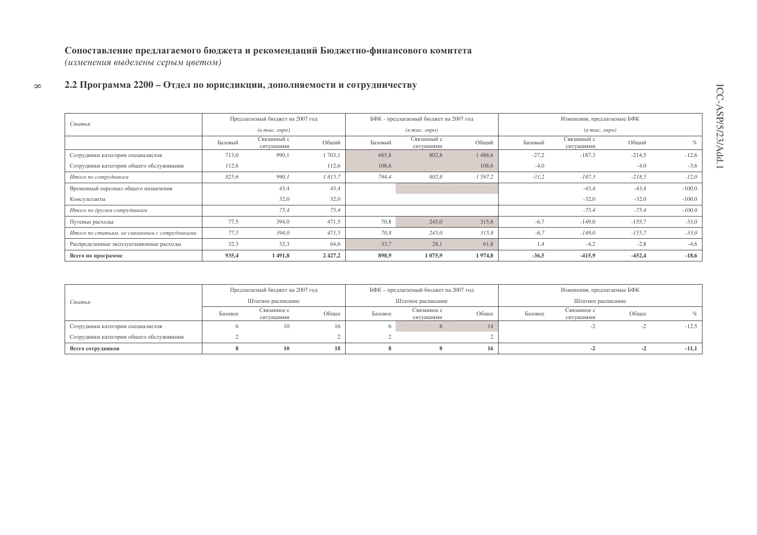#### Сопоставление предлагаемого бюджета и рекомендаций Бюджетно-финансового комитета (изменения выделены серым цветом)

#### $\infty$ 2.2 Программа 2200 – Отдел по юрисдикции, дополняемости и сотрудничеству

|                                               |         | Предлагаемый бюджет на 2007 год  |        |         | БФК - предлагаемый бюджет на 2007 год |         |         | Изменения, предлагаемые БФК            |          |          |
|-----------------------------------------------|---------|----------------------------------|--------|---------|---------------------------------------|---------|---------|----------------------------------------|----------|----------|
| Статья                                        |         | $(a \text{ molc.} \text{ espo})$ |        |         | $(a \text{ molc.} \text{ espo})$      |         |         | $(e$ m <sub>bl</sub> $c$ . $e$ e $po)$ |          |          |
|                                               | Базовый | Связанный с<br>ситуациями        | Общий  | Базовый | Связанный с<br>ситуациями             | Общий   | Базовый | Связанный с<br>ситуациями              | Общий    | $\%$     |
| Сотрудники категории специалистов             | 713,0   | 990,1                            | 1703,1 | 685,8   | 802,8                                 | 1488,6  | $-27.2$ | $-187,3$                               | $-214,5$ | $-12,6$  |
| Сотрудники категории общего обслуживания      | 112,6   |                                  | 112,6  | 108,6   |                                       | 108,6   | $-4,0$  |                                        | $-4,0$   | $-3,6$   |
| Итого по сотрудникам                          | 825,6   | 990,1                            | 1815,7 | 794,4   | 802,8                                 | 1 597,2 | $-31,2$ | $-187,3$                               | $-218,5$ | $-12,0$  |
| Временный персонал общего назначения          |         | 43,4                             | 43,4   |         |                                       |         |         | $-43,4$                                | $-43,4$  | $-100,0$ |
| Консультанты                                  |         | 32,0                             | 32,0   |         |                                       |         |         | $-32,0$                                | $-32,0$  | $-100,0$ |
| Итого по другим сотрудникам                   |         | 75,4                             | 75,4   |         |                                       |         |         | $-75,4$                                | $-75,4$  | $-100,0$ |
| Путевые расходы                               | 77,5    | 394,0                            | 471,5  | 70,8    | 245,0                                 | 315,8   | $-6,7$  | $-149,0$                               | $-155,7$ | $-33.0$  |
| Итого по статьям, не связанным с сотрудниками | 77,5    | 394,0                            | 471,5  | 70,8    | 245,0                                 | 315,8   | $-6,7$  | $-149,0$                               | $-155,7$ | $-33,0$  |
| Распределенные эксплуатационные расходы       | 32,3    | 32,3                             | 64.6   | 33,7    | 28,1                                  | 61.8    | 1,4     | $-4,2$                                 | $-2,8$   | $-4,6$   |
| Всего по программе                            | 935,4   | 1 491,8                          | 2427,2 | 898,9   | 1 0 7 5 , 9                           | 1974,8  | $-36,5$ | $-415,9$                               | $-452,4$ | $-18,6$  |

|                                          | Предлагаемый бюджет на 2007 год |                           |       |         | БФК – предлагаемый бюджет на 2007 год |       |         | Изменения, предлагаемые БФК |       |         |
|------------------------------------------|---------------------------------|---------------------------|-------|---------|---------------------------------------|-------|---------|-----------------------------|-------|---------|
| Статья                                   |                                 | Штатное расписание        |       |         | Штатное расписание                    |       |         | Штатное расписание          |       |         |
|                                          | Базовое                         | Связанное с<br>ситуациями | Общее | Базовое | Связанное с<br>ситуациями             | Общее | Базовое | Связанное с<br>ситуациями   | Общее |         |
| Сотрудники категории специалистов        |                                 | ιv                        | 16    |         |                                       |       |         |                             |       | $-12,5$ |
| Сотрудники категории общего обслуживания |                                 |                           |       |         |                                       |       |         |                             |       |         |
| Всего сотрудников                        |                                 |                           | 18    |         |                                       | 16    |         |                             |       | $-11,1$ |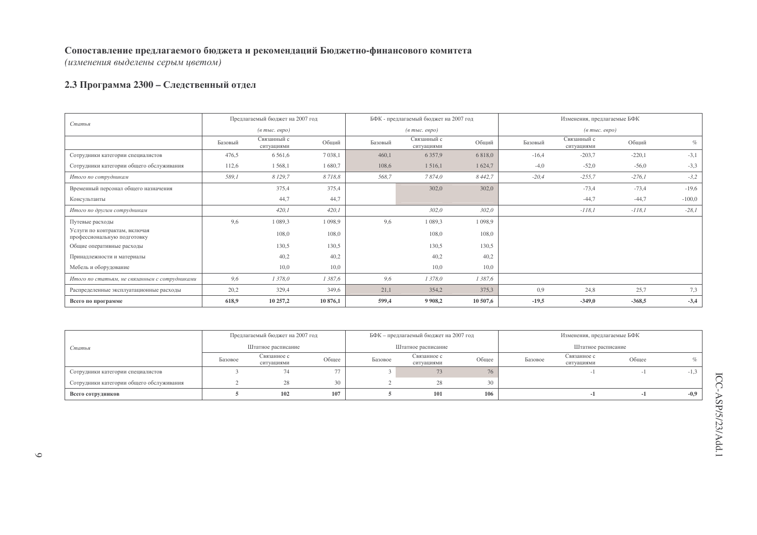(изменения выделены серым цветом)

## 2.3 Программа 2300 - Следственный отдел

|                                                              |         | Предлагаемый бюджет на 2007 год |           |         | БФК - предлагаемый бюджет на 2007 год |             |         | Изменения, предлагаемые БФК             |          |          |
|--------------------------------------------------------------|---------|---------------------------------|-----------|---------|---------------------------------------|-------------|---------|-----------------------------------------|----------|----------|
| Статья                                                       |         | (в тыс. евро)                   |           |         | $(a \text{ mole.} \text{~e}$          |             |         | $(e$ m <sub>bl</sub> $c$ . $e$ e $po$ ) |          |          |
|                                                              | Базовый | Связанный с<br>ситуациями       | Общий     | Базовый | Связанный с<br>ситуациями             | Общий       | Базовый | Связанный с<br>ситуациями               | Общий    | $\%$     |
| Сотрудники категории специалистов                            | 476,5   | 6 5 6 1, 6                      | 7 0 38,1  | 460,1   | 6 3 5 7 9                             | 6 8 1 8 , 0 | $-16,4$ | $-203,7$                                | $-220,1$ | $-3,1$   |
| Сотрудники категории общего обслуживания                     | 112,6   | 1568,1                          | 1680,7    | 108,6   | 1516,1                                | 1 624,7     | $-4,0$  | $-52,0$                                 | $-56,0$  | $-3,3$   |
| Итого по сотрудникам                                         | 589,1   | 8 129,7                         | 8718,8    | 568,7   | 7874,0                                | 8 4 4 2, 7  | $-20,4$ | $-255,7$                                | $-276,1$ | $-3,2$   |
| Временный персонал общего назначения                         |         | 375,4                           | 375,4     |         | 302,0                                 | 302,0       |         | $-73,4$                                 | $-73,4$  | $-19,6$  |
| Консультанты                                                 |         | 44,7                            | 44,7      |         |                                       |             |         | $-44,7$                                 | $-44,7$  | $-100,0$ |
| Итого по другим сотрудникам                                  |         | 420,1                           | 420,1     |         | 302,0                                 | 302,0       |         | $-118,1$                                | $-118,1$ | $-28,1$  |
| Путевые расходы                                              | 9,6     | 1 0 8 9 3                       | 1 0 9 8 9 | 9,6     | 1 0 8 9 3                             | 1 0 9 8 , 9 |         |                                         |          |          |
| Услуги по контрактам, включая<br>профессиональную подготовку |         | 108,0                           | 108,0     |         | 108,0                                 | 108,0       |         |                                         |          |          |
| Общие оперативные расходы                                    |         | 130,5                           | 130,5     |         | 130,5                                 | 130,5       |         |                                         |          |          |
| Принадлежности и материалы                                   |         | 40,2                            | 40,2      |         | 40,2                                  | 40,2        |         |                                         |          |          |
| Мебель и оборудование                                        |         | 10,0                            | 10,0      |         | 10,0                                  | 10,0        |         |                                         |          |          |
| Итого по статьям, не связанным с сотрудниками                | 9,6     | 1 378,0                         | 1387,6    | 9,6     | 1 378,0                               | 1 387,6     |         |                                         |          |          |
| Распределенные эксплуатационные расходы                      | 20,2    | 329,4                           | 349,6     | 21,1    | 354,2                                 | 375,3       | 0.9     | 24,8                                    | 25,7     | 7,3      |
| Всего по программе                                           | 618,9   | 10 257,2                        | 10876,1   | 599,4   | 9 9 0 8,2                             | 10 507,6    | $-19,5$ | $-349,0$                                | $-368,5$ | $-3,4$   |

|                                          |         | Предлагаемый бюджет на 2007 год   |       |         | БФК - предлагаемый бюджет на 2007 год |       |         | Изменения, предлагаемые БФК |       |        |
|------------------------------------------|---------|-----------------------------------|-------|---------|---------------------------------------|-------|---------|-----------------------------|-------|--------|
| Статья                                   |         | Штатное расписание<br>Связанное с |       |         | Штатное расписание                    |       |         | Штатное расписание          |       |        |
|                                          | Базовое | ситуациями                        | Общее | Базовое | Связанное с<br>ситуациями             | Общее | Базовое | Связанное с<br>ситуациями   | Общее |        |
| Сотрудники категории специалистов        |         |                                   |       |         | 73                                    | 76    |         |                             |       | $-1,3$ |
| Сотрудники категории общего обслуживания |         |                                   | 20    |         | 28                                    | 30    |         |                             |       |        |
| Всего сотрудников                        |         | 102                               | 107   |         | 101                                   | 106   |         |                             |       | $-0.9$ |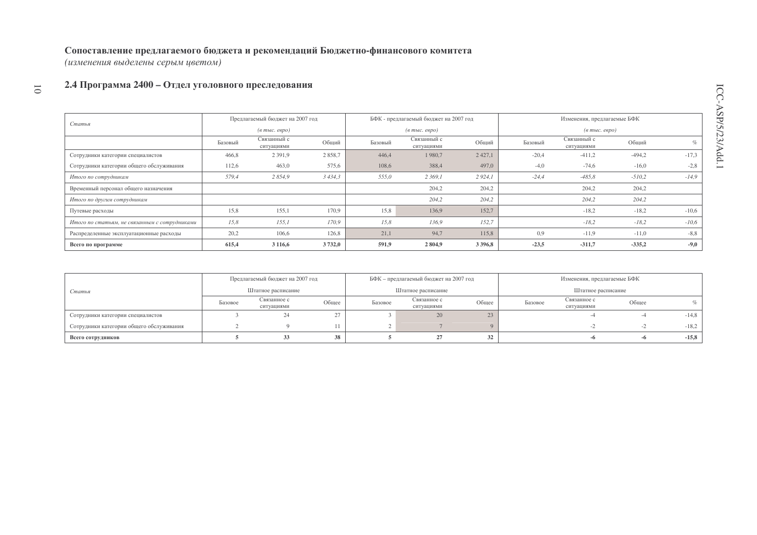(изменения выделены серым цветом)

#### 1 0 2.4 Программа 2400 – Отдел уголовного преследования

|                                               |         | Предлагаемый бюджет на 2007 год  |        |         | БФК - предлагаемый бюджет на 2007 год |             |         | Изменения, предлагаемые БФК       |          |         |
|-----------------------------------------------|---------|----------------------------------|--------|---------|---------------------------------------|-------------|---------|-----------------------------------|----------|---------|
| Статья                                        |         | $(a \text{ molc.} \text{ espo})$ |        |         | $(e$ m <sub>bl</sub> $c$ , espo $)$   |             |         | $(\textit{6 muc.} \textit{espo})$ |          |         |
|                                               | Базовый | Связанный с<br>ситуациями        | Общий  | Базовый | Связанный с<br>ситуациями             | Обший       | Базовый | Связанный с<br>ситуациями         | Общий    | $\%$    |
| Сотрудники категории специалистов             | 466,8   | 2 3 9 1 , 9                      | 2858,7 | 446,4   | 1980,7                                | 2 4 2 7, 1  | $-20.4$ | $-411,2$                          | $-494,2$ | $-17,3$ |
| Сотрудники категории общего обслуживания      | 112,6   | 463,0                            | 575,6  | 108,6   | 388,4                                 | 497,0       | $-4,0$  | $-74,6$                           | $-16,0$  | $-2,8$  |
| Итого по сотрудникам                          | 579,4   | 2 854,9                          | 3434,3 | 555,0   | 2 369,1                               | 2 9 24, 1   | $-24.4$ | $-485,8$                          | $-510,2$ | $-14.9$ |
| Временный персонал общего назначения          |         |                                  |        |         | 204,2                                 | 204,2       |         | 204,2                             | 204,2    |         |
| Итого по другим сотрудникам                   |         |                                  |        |         | 204,2                                 | 204,2       |         | 204,2                             | 204,2    |         |
| Путевые расходы                               | 15,8    | 155.1                            | 170.9  | 15,8    | 136.9                                 | 152.7       |         | $-18.2$                           | $-18,2$  | $-10,6$ |
| Итого по статьям, не связанным с сотрудниками | 15,8    | 155.1                            | 170.9  | 15,8    | 136,9                                 | 152.7       |         | $-18,2$                           | $-18,2$  | $-10,6$ |
| Распределенные эксплуатационные расходы       | 20,2    | 106,6                            | 126,8  | 21,1    | 94.7                                  | 115.8       | 0.9     | $-11.9$                           | $-11,0$  | $-8,8$  |
| Всего по программе                            | 615.4   | 3 1 1 6 , 6                      | 3732,0 | 591,9   | 2804,9                                | 3 3 9 6 , 8 | $-23.5$ | $-311,7$                          | $-335,2$ | $-9,0$  |

|                                          |                    | Предлагаемый бюджет на 2007 год |       |         | БФК - предлагаемый бюджет на 2007 год |       |         | Изменения, предлагаемые БФК |       |         |
|------------------------------------------|--------------------|---------------------------------|-------|---------|---------------------------------------|-------|---------|-----------------------------|-------|---------|
| Статья                                   | Штатное расписание |                                 |       |         | Штатное расписание                    |       |         | Штатное расписание          |       |         |
|                                          | Базовое            | Связанное с<br>ситуациями       | Общее | Базовое | Связанное с<br>ситуациями             | Общее | Базовое | Связанное с<br>ситуациями   | Общее | %       |
| Сотрудники категории специалистов        |                    |                                 |       |         | 20                                    | 23    |         |                             |       | $-14,8$ |
| Сотрудники категории общего обслуживания |                    |                                 |       |         |                                       |       |         |                             |       | $-18,2$ |
| Всего сотрудников                        |                    | 33                              | 38    |         | 27                                    | 32    |         |                             | -0    | $-15,8$ |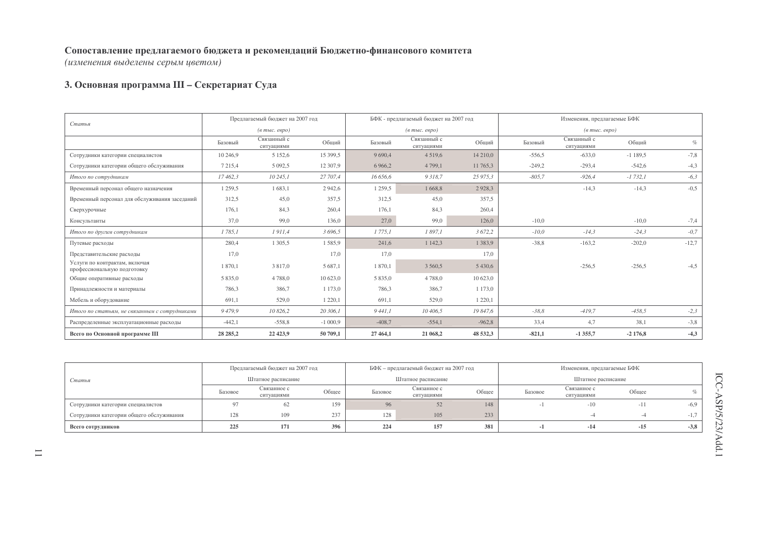(изменения выделены серым цветом)

## 3. Основная программа III - Секретариат Суда

|                                                              |             | Предлагаемый бюджет на 2007 год     |             |             | БФК - предлагаемый бюджет на 2007 год                       |             |          | Изменения, предлагаемые БФК         |           |         |
|--------------------------------------------------------------|-------------|-------------------------------------|-------------|-------------|-------------------------------------------------------------|-------------|----------|-------------------------------------|-----------|---------|
| Статья                                                       |             | $(e$ m <sub>bl</sub> $c$ , espo $)$ |             |             | $(\epsilon$ m <sub>bl</sub> $c$ . $\epsilon$ e $\rho$ o $)$ |             |          | $(e$ m <sub>bl</sub> $c$ , espo $)$ |           |         |
|                                                              | Базовый     | Связанный с<br>ситуациями           | Общий       | Базовый     | Связанный с<br>ситуациями                                   | Общий       | Базовый  | Связанный с<br>ситуациями           | Общий     | $\%$    |
| Сотрудники категории специалистов                            | 10 246,9    | 5 1 5 2, 6                          | 15 399,5    | 9 6 9 0, 4  | 4 5 1 9 , 6                                                 | 14 210,0    | $-556.5$ | $-633,0$                            | $-1189.5$ | $-7,8$  |
| Сотрудники категории общего обслуживания                     | 7 2 1 5 , 4 | 5 0 9 2.5                           | 12 307,9    | 6 9 6 6 , 2 | 4 7 9 9 , 1                                                 | 11 765,3    | $-249.2$ | $-293,4$                            | $-542.6$  | $-4,3$  |
| Итого по сотрудникам                                         | 17462,3     | 10245,1                             | 27 707,4    | 16 656,6    | 9318,7                                                      | 25 975,3    | $-805,7$ | $-926,4$                            | $-1732,1$ | $-6,3$  |
| Временный персонал общего назначения                         | 1 259,5     | 1683,1                              | 2942,6      | 1 259,5     | 1668,8                                                      | 2928,3      |          | $-14,3$                             | $-14,3$   | $-0,5$  |
| Временный персонал для обслуживания заседаний                | 312,5       | 45,0                                | 357,5       | 312,5       | 45,0                                                        | 357.5       |          |                                     |           |         |
| Сверхурочные                                                 | 176.1       | 84,3                                | 260,4       | 176,1       | 84.3                                                        | 260.4       |          |                                     |           |         |
| Консультанты                                                 | 37,0        | 99,0                                | 136,0       | 27,0        | 99,0                                                        | 126,0       | $-10,0$  |                                     | $-10,0$   | $-7,4$  |
| Итого по другим сотрудникам                                  | 1785,1      | 1911,4                              | 3 696,5     | 1 775,1     | 1 897,1                                                     | 3 672,2     | $-10,0$  | $-14,3$                             | $-24,3$   | $-0,7$  |
| Путевые расходы                                              | 280,4       | 1 3 0 5 .5                          | 1585.9      | 241,6       | 1 142,3                                                     | 1 3 8 3 , 9 | $-38.8$  | $-163,2$                            | $-202,0$  | $-12,7$ |
| Представительские расходы                                    | 17,0        |                                     | 17,0        | 17,0        |                                                             | 17.0        |          |                                     |           |         |
| Услуги по контрактам, включая<br>профессиональную подготовку | 1870.1      | 3 817,0                             | 5 687.1     | 1870,1      | 3 5 6 0 , 5                                                 | 5 4 3 0.6   |          | $-256,5$                            | $-256,5$  | $-4.5$  |
| Общие оперативные расходы                                    | 5 8 3 5 .0  | 4788,0                              | 10 623.0    | 5 8 3 5 .0  | 4788.0                                                      | 10 623.0    |          |                                     |           |         |
| Принадлежности и материалы                                   | 786,3       | 386,7                               | 1 173,0     | 786,3       | 386,7                                                       | 1 173,0     |          |                                     |           |         |
| Мебель и оборудование                                        | 691,1       | 529,0                               | 1 2 2 0 , 1 | 691,1       | 529,0                                                       | 1 2 2 0 , 1 |          |                                     |           |         |
| Итого по статьям, не связанным с сотрудниками                | 9479,9      | 10 826,2                            | 20 306,1    | 9441,1      | 10 406,5                                                    | 19 847,6    | $-38,8$  | $-419.7$                            | $-458,5$  | $-2,3$  |
| Распределенные эксплуатационные расходы                      | $-442,1$    | $-558,8$                            | $-1000,9$   | $-408,7$    | $-554,1$                                                    | $-962,8$    | 33,4     | 4,7                                 | 38,1      | $-3,8$  |
| Всего по Основной программе III                              | 28 28 5, 2  | 22 4 23, 9                          | 50 709,1    | 27 464,1    | 21 068,2                                                    | 48 532,3    | $-821,1$ | $-1355,7$                           | $-2176,8$ | $-4,3$  |

|                                          |         | Предлагаемый бюджет на 2007 год   |       |         | БФК - предлагаемый бюджет на 2007 год |       |         | Изменения, предлагаемые БФК |       |        |
|------------------------------------------|---------|-----------------------------------|-------|---------|---------------------------------------|-------|---------|-----------------------------|-------|--------|
| Статья                                   |         | Штатное расписание<br>Связанное с |       |         | Штатное расписание                    |       |         | Штатное расписание          |       |        |
|                                          | Базовое | ситуациями                        | Общее | Базовое | Связанное с<br>ситуациями             | Общее | Базовое | Связанное с<br>ситуациями   | Общее |        |
| Сотрудники категории специалистов        |         | 62                                | 159   | 96      |                                       | 148   |         | $-10$                       | $-11$ | -6.9   |
| Сотрудники категории общего обслуживания | 128     | 109                               | 237   | 128     | 105                                   | 233   |         |                             |       | $-1.1$ |
| Всего сотрудников                        | 225     | 171                               | 396   | 224     | 157                                   | 381   |         | $-14$                       | $-15$ | $-3.8$ |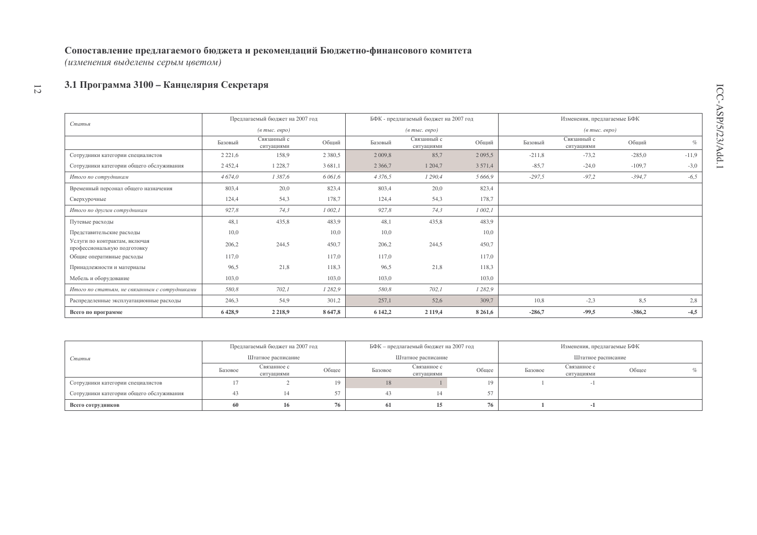(изменения выделены серым цветом)

#### 3.1 Программа 3100 - Канцелярия Секретаря  $\overline{\omega}$

|                                                              |             | Предлагаемый бюджет на 2007 год     |            |           | БФК - предлагаемый бюджет на 2007 год                 |             |          | Изменения, предлагаемые БФК                           |          |         |
|--------------------------------------------------------------|-------------|-------------------------------------|------------|-----------|-------------------------------------------------------|-------------|----------|-------------------------------------------------------|----------|---------|
| Статья                                                       |             | $(6 \text{ molc.}$ $e$ $e$ $p$ $o)$ |            |           | $(\epsilon$ m <sub>bl</sub> $c$ . $\epsilon$ egpo $)$ |             |          | $(\epsilon$ m <sub>bl</sub> $c$ . $\epsilon$ egpo $)$ |          |         |
|                                                              | Базовый     | Связанный с<br>ситуациями           | Общий      | Базовый   | Связанный с<br>ситуациями                             | Общий       | Базовый  | Связанный с<br>ситуациями                             | Обший    | $\%$    |
| Сотрудники категории специалистов                            | 2 2 2 1 , 6 | 158,9                               | 2 3 8 0 .5 | 2 0 0 9,8 | 85,7                                                  | 2 0 9 5 .5  | $-211,8$ | $-73,2$                                               | $-285,0$ | $-11,9$ |
| Сотрудники категории общего обслуживания                     | 2 4 5 2 , 4 | 1 2 2 8 , 7                         | 3 681,1    | 2 3 6 6,7 | 1 204,7                                               | 3 5 7 1 , 4 | $-85.7$  | $-24,0$                                               | $-109,7$ | $-3,0$  |
| Итого по сотрудникам                                         | 4 674,0     | 1 387,6                             | 6 0 6 1, 6 | 4 3 7 6 5 | 1 290,4                                               | 5 666.9     | $-297,5$ | $-97.2$                                               | $-394,7$ | $-6,5$  |
| Временный персонал общего назначения                         | 803,4       | 20,0                                | 823,4      | 803,4     | 20,0                                                  | 823,4       |          |                                                       |          |         |
| Сверхурочные                                                 | 124,4       | 54,3                                | 178,7      | 124,4     | 54,3                                                  | 178,7       |          |                                                       |          |         |
| Итого по другим сотрудникам                                  | 927,8       | 74,3                                | 1002,1     | 927,8     | 74,3                                                  | 1002,1      |          |                                                       |          |         |
| Путевые расходы                                              | 48,1        | 435,8                               | 483,9      | 48,1      | 435,8                                                 | 483,9       |          |                                                       |          |         |
| Представительские расходы                                    | 10,0        |                                     | 10,0       | 10,0      |                                                       | 10,0        |          |                                                       |          |         |
| Услуги по контрактам, включая<br>профессиональную подготовку | 206.2       | 244.5                               | 450,7      | 206,2     | 244.5                                                 | 450.7       |          |                                                       |          |         |
| Общие оперативные расходы                                    | 117.0       |                                     | 117,0      | 117.0     |                                                       | 117,0       |          |                                                       |          |         |
| Принадлежности и материалы                                   | 96,5        | 21,8                                | 118,3      | 96,5      | 21,8                                                  | 118,3       |          |                                                       |          |         |
| Мебель и оборудование                                        | 103,0       |                                     | 103,0      | 103,0     |                                                       | 103,0       |          |                                                       |          |         |
| Итого по статьям, не связанным с сотрудниками                | 580,8       | 702,1                               | 1 2 8 2, 9 | 580,8     | 702,1                                                 | 1 2 8 2, 9  |          |                                                       |          |         |
| Распределенные эксплуатационные расходы                      | 246,3       | 54,9                                | 301,2      | 257,1     | 52,6                                                  | 309,7       | 10,8     | $-2,3$                                                | 8,5      | 2,8     |
| Всего по программе                                           | 6428.9      | 2 2 1 8 .9                          | 8647.8     | 6 142.2   | 2 1 1 9 .4                                            | 8 2 6 1, 6  | $-286.7$ | $-99.5$                                               | $-386.2$ | $-4,5$  |

|                                          |         | Предлагаемый бюджет на 2007 год |       |         | БФК - предлагаемый бюджет на 2007 год |       |         | Изменения, предлагаемые БФК |       |  |
|------------------------------------------|---------|---------------------------------|-------|---------|---------------------------------------|-------|---------|-----------------------------|-------|--|
| Статья                                   |         | Штатное расписание              |       |         | Штатное расписание                    |       |         | Штатное расписание          |       |  |
|                                          | Базовое | Связанное с<br>ситуациями       | Общее | Базовое | Связанное с<br>ситуациями             | Общее | Базовое | Связанное с<br>ситуациями   | Общее |  |
| Сотрудники категории специалистов        |         |                                 | 10    | 18      |                                       |       |         |                             |       |  |
| Сотрудники категории общего обслуживания |         |                                 |       |         |                                       |       |         |                             |       |  |
| Всего сотрудников                        | 60      | 16                              | 76    | 61      |                                       |       |         |                             |       |  |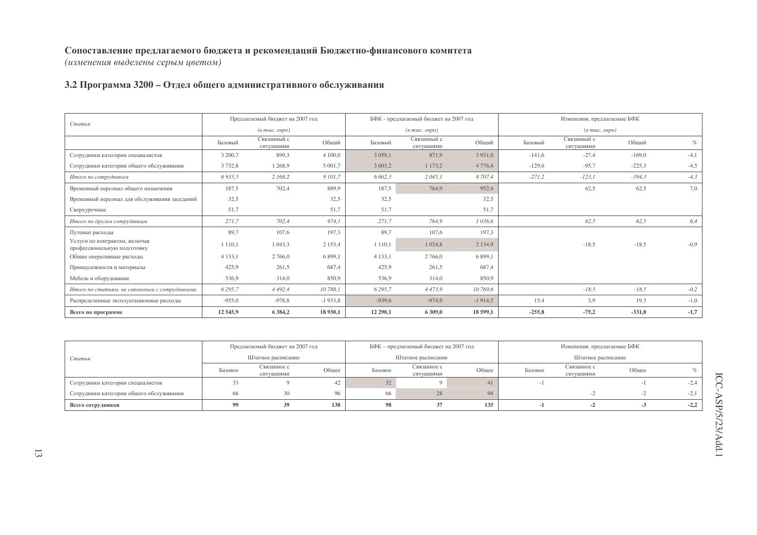(изменения выделены серым цветом)

### 3.2 Программа 3200 - Отдел общего административного обслуживания

| Статья                                                       |             | Предлагаемый бюджет на 2007 год  |             |             | БФК - предлагаемый бюджет на 2007 год |             |          | Изменения, предлагаемые БФК                             |          |        |
|--------------------------------------------------------------|-------------|----------------------------------|-------------|-------------|---------------------------------------|-------------|----------|---------------------------------------------------------|----------|--------|
|                                                              |             | $(a \text{ molc.} \text{ espo})$ |             |             | $(a \text{ molc.} \text{ espo})$      |             |          | $(a \text{ mol.} \text{ e }\text{e}\text{ }p\text{ }o)$ |          |        |
|                                                              | Базовый     | Связанный с<br>ситуациями        | Общий       | Базовый     | Связанный с<br>ситуациями             | Общий       | Базовый  | Связанный с<br>ситуациями                               | Общий    | $\%$   |
| Сотрудники категории специалистов                            | 3 200,7     | 899,3                            | 4 100,0     | 3 0 5 9 , 1 | 871,9                                 | 3 9 3 1 , 0 | $-141,6$ | $-27,4$                                                 | $-169,0$ | $-4,1$ |
| Сотрудники категории общего обслуживания                     | 3732,8      | 1 2 6 8,9                        | 5 0 0 1,7   | 3 603,2     | 1 173,2                               | 4 7 7 6, 4  | $-129,6$ | $-95.7$                                                 | $-225,3$ | $-4,5$ |
| Итого по сотрудникам                                         | 6 9 3 3, 5  | 2 168,2                          | 9 101,7     | 6 662,3     | 2045,1                                | 8 707,4     | $-271,2$ | $-123,1$                                                | $-394,3$ | $-4,3$ |
| Временный персонал общего назначения                         | 187,5       | 702,4                            | 889,9       | 187,5       | 764,9                                 | 952,4       |          | 62,5                                                    | 62,5     | 7,0    |
| Временный персонал для обслуживания заседаний                | 32,5        |                                  | 32,5        | 32,5        |                                       | 32,5        |          |                                                         |          |        |
| Сверхурочные                                                 | 51,7        |                                  | 51,7        | 51,7        |                                       | 51.7        |          |                                                         |          |        |
| Итого по другим сотрудникам                                  | 271,7       | 702,4                            | 974.1       | 271,7       | 764,9                                 | 1 0 36.6    |          | 62,5                                                    | 62,5     | 6,4    |
| Путевые расходы                                              | 89,7        | 107,6                            | 197,3       | 89,7        | 107,6                                 | 197.3       |          |                                                         |          |        |
| Услуги по контрактам, включая<br>профессиональную подготовку | 1 1 1 0 .1  | 1 043.3                          | 2 1 5 3 , 4 | 1 1 1 0 , 1 | 1 0 24,8                              | 2 1 3 4 9   |          | $-18.5$                                                 | $-18,5$  | $-0.9$ |
| Общие оперативные расходы                                    | 4 1 3 3 .1  | 2 766.0                          | 6 8 9 9, 1  | 4 1 3 3 .1  | 2 766.0                               | 6 8 9 9.1   |          |                                                         |          |        |
| Принадлежности и материалы                                   | 425.9       | 261,5                            | 687,4       | 425.9       | 261,5                                 | 687.4       |          |                                                         |          |        |
| Мебель и оборудование                                        | 536,9       | 314,0                            | 850,9       | 536,9       | 314,0                                 | 850,9       |          |                                                         |          |        |
| Итого по статьям, не связанным с сотрудниками                | 6 2 9 5 , 7 | 4 4 9 2, 4                       | 10 788,1    | 6 2 9 5 , 7 | 4 4 7 3 , 9                           | 10 769,6    |          | $-18,5$                                                 | $-18,5$  | $-0,2$ |
| Распределенные эксплуатационные расходы                      | $-955,0$    | $-978,8$                         | $-1933.8$   | $-939,6$    | $-974,9$                              | $-1914,5$   | 15,4     | 3,9                                                     | 19,3     | $-1,0$ |
| Всего по программе                                           | 12 5 45,9   | 6 3 8 4 , 2                      | 18 930,1    | 12 290,1    | 6 309,0                               | 18 599,1    | $-255,8$ | $-75,2$                                                 | $-331,0$ | $-1,7$ |

|                                          | Предлагаемый бюджет на 2007 год |                                              |       |         | БФК - предлагаемый бюджет на 2007 год |       |         | Изменения, предлагаемые БФК |       |        |
|------------------------------------------|---------------------------------|----------------------------------------------|-------|---------|---------------------------------------|-------|---------|-----------------------------|-------|--------|
| Статья                                   |                                 | Штатное расписание<br>Связанное с<br>Базовое |       |         | Штатное расписание                    |       |         | Штатное расписание          |       |        |
|                                          |                                 | ситуациями                                   | Общее | Базовое | Связанное с<br>ситуациями             | Общее | Базовое | Связанное с<br>ситуациями   | Общее |        |
| Сотрудники категории специалистов        |                                 |                                              | 42    | 32      |                                       |       |         |                             |       | $-2,4$ |
| Сотрудники категории общего обслуживания |                                 |                                              | 96    | 66      | 28                                    | 94    |         |                             |       | $-2,1$ |
| Всего сотрудников                        |                                 |                                              | 138   | 98      |                                       | 135   |         | $-2$                        | - 7   | $-2,2$ |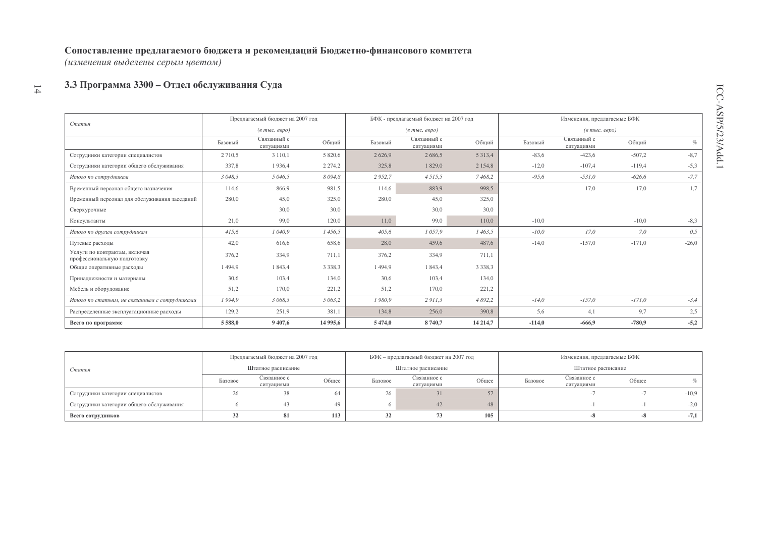(изменения выделены серым цветом)

#### 3.3 Программа 3300 - Отдел обслуживания Суда  $14\,$

| Статья                                                       |             | Предлагаемый бюджет на 2007 год  |             |             | БФК - предлагаемый бюджет на 2007 год |             |          | Изменения, предлагаемые БФК                           |          |         |
|--------------------------------------------------------------|-------------|----------------------------------|-------------|-------------|---------------------------------------|-------------|----------|-------------------------------------------------------|----------|---------|
|                                                              |             | $(6 \text{ molc.} \text{~espo})$ |             |             | $(a \text{ mole.} \text{~e}$          |             |          | $(\epsilon$ m <sub>bl</sub> $c$ . $\epsilon$ egpo $)$ |          |         |
|                                                              | Базовый     | Связанный с<br>ситуациями        | Общий       | Базовый     | Связанный с<br>ситуациями             | Общий       | Базовый  | Связанный с<br>ситуациями                             | Общий    | $\%$    |
| Сотрудники категории специалистов                            | 2 7 1 0 .5  | 3 1 1 0 , 1                      | 5 8 2 0.6   | 2626,9      | 2686,5                                | 5 3 1 3 , 4 | $-83,6$  | $-423,6$                                              | $-507,2$ | $-8,7$  |
| Сотрудники категории общего обслуживания                     | 337,8       | 1936,4                           | 2 2 7 4 , 2 | 325,8       | 1829,0                                | 2 1 5 4 8   | $-12,0$  | $-107,4$                                              | $-119,4$ | $-5,3$  |
| Итого по сотрудникам                                         | 3 048,3     | 5 046,5                          | 8094.8      | 2952,7      | 4 5 1 5 , 5                           | 7468,2      | $-95,6$  | $-531,0$                                              | $-626.6$ | $-7,7$  |
| Временный персонал общего назначения                         | 114,6       | 866,9                            | 981,5       | 114,6       | 883,9                                 | 998.5       |          | 17,0                                                  | 17,0     | 1,7     |
| Временный персонал для обслуживания заседаний                | 280,0       | 45,0                             | 325,0       | 280,0       | 45,0                                  | 325,0       |          |                                                       |          |         |
| Сверхурочные                                                 |             | 30,0                             | 30,0        |             | 30,0                                  | 30,0        |          |                                                       |          |         |
| Консультанты                                                 | 21,0        | 99,0                             | 120,0       | 11,0        | 99,0                                  | 110,0       | $-10.0$  |                                                       | $-10,0$  | $-8,3$  |
| Итого по другим сотрудникам                                  | 415,6       | 1 040,9                          | 1456,5      | 405,6       | 1057,9                                | 1463,5      | $-10,0$  | 17,0                                                  | 7,0      | 0,5     |
| Путевые расходы                                              | 42,0        | 616,6                            | 658,6       | 28,0        | 459,6                                 | 487,6       | $-14,0$  | $-157,0$                                              | $-171,0$ | $-26,0$ |
| Услуги по контрактам, включая<br>профессиональную подготовку | 376,2       | 334,9                            | 711,1       | 376,2       | 334,9                                 | 711,1       |          |                                                       |          |         |
| Общие оперативные расходы                                    | 1494,9      | 1 843,4                          | 3 3 3 8 3   | 1494,9      | 1 843,4                               | 3 3 3 8 , 3 |          |                                                       |          |         |
| Принадлежности и материалы                                   | 30,6        | 103,4                            | 134,0       | 30,6        | 103,4                                 | 134,0       |          |                                                       |          |         |
| Мебель и оборудование                                        | 51,2        | 170,0                            | 221,2       | 51,2        | 170,0                                 | 221,2       |          |                                                       |          |         |
| Итого по статьям, не связанным с сотрудниками                | 1994,9      | 3 068,3                          | 5 063,2     | 1980,9      | 2911,3                                | 4 892,2     | $-14,0$  | $-157,0$                                              | $-171,0$ | $-3,4$  |
| Распределенные эксплуатационные расходы                      | 129,2       | 251,9                            | 381,1       | 134,8       | 256,0                                 | 390,8       | 5,6      | 4,1                                                   | 9,7      | 2,5     |
| Всего по программе                                           | 5 5 8 8 , 0 | 9 407,6                          | 14 995,6    | 5 4 7 4 , 0 | 8740,7                                | 14 214,7    | $-114,0$ | $-666,9$                                              | $-780,9$ | $-5,2$  |

|                                          |         | Предлагаемый бюджет на 2007 год |       |         | БФК - предлагаемый бюджет на 2007 год |       |         | Изменения, предлагаемые БФК |       |                             |
|------------------------------------------|---------|---------------------------------|-------|---------|---------------------------------------|-------|---------|-----------------------------|-------|-----------------------------|
| Статья                                   |         | Штатное расписание              |       |         | Штатное расписание                    |       |         | Штатное расписание          |       |                             |
|                                          | Базовое | Связанное с<br>ситуациями       | Общее | Базовое | Связанное с<br>ситуациями             | Общее | Базовое | Связанное с<br>ситуациями   | Общее | $\mathcal{O}_{\mathcal{L}}$ |
| Сотрудники категории специалистов        | ۷h      |                                 | 64    | 26      | 31                                    | 57    |         |                             |       | $-10,9$                     |
| Сотрудники категории общего обслуживания |         |                                 | 49.   |         | 42                                    | 48    |         |                             |       | $-2,0$                      |
| Всего сотрудников                        |         | 81                              | 113   |         | 73                                    | 105   |         |                             |       | $-7,1$                      |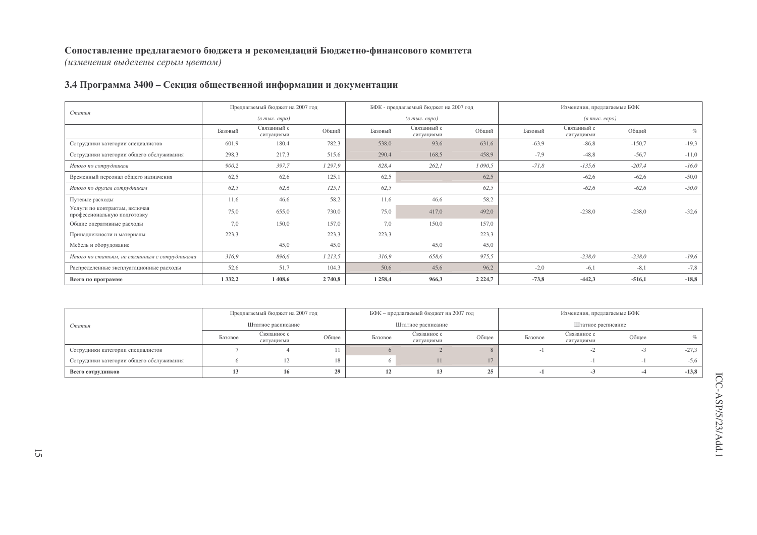(изменения выделены серым цветом)

## 3.4 Программа 3400 - Секция общественной информации и документации

| Статья                                                       |             | Предлагаемый бюджет на 2007 год  |        |         | БФК - предлагаемый бюджет на 2007 год           |             |         | Изменения, предлагаемые БФК       |          |         |
|--------------------------------------------------------------|-------------|----------------------------------|--------|---------|-------------------------------------------------|-------------|---------|-----------------------------------|----------|---------|
|                                                              |             | $(a \text{ molc.} \text{~espo})$ |        |         | $(\epsilon$ m <sub>bl</sub> c. $\epsilon$ egpo) |             |         | $(\textit{6 muc.} \textit{espo})$ |          |         |
|                                                              | Базовый     | Связанный с<br>ситуациями        | Общий  | Базовый | Связанный с<br>ситуациями                       | Общий       | Базовый | Связанный с<br>ситуациями         | Общий    | $\%$    |
| Сотрудники категории специалистов                            | 601,9       | 180,4                            | 782,3  | 538,0   | 93,6                                            | 631,6       | $-63.9$ | $-86,8$                           | $-150,7$ | $-19,3$ |
| Сотрудники категории общего обслуживания                     | 298,3       | 217,3                            | 515,6  | 290,4   | 168,5                                           | 458,9       | $-7,9$  | $-48,8$                           | $-56,7$  | $-11,0$ |
| Итого по сотрудникам                                         | 900,2       | 397,7                            | 1297,9 | 828,4   | 262,1                                           | 1 090,5     | $-71,8$ | $-135,6$                          | $-207,4$ | $-16,0$ |
| Временный персонал общего назначения                         | 62,5        | 62,6                             | 125,1  | 62,5    |                                                 | 62,5        |         | $-62,6$                           | $-62,6$  | $-50,0$ |
| Итого по другим сотрудникам                                  | 62,5        | 62,6                             | 125,1  | 62,5    |                                                 | 62,5        |         | $-62,6$                           | $-62,6$  | $-50,0$ |
| Путевые расходы                                              | 11,6        | 46,6                             | 58,2   | 11,6    | 46,6                                            | 58,2        |         |                                   |          |         |
| Услуги по контрактам, включая<br>профессиональную подготовку | 75,0        | 655,0                            | 730,0  | 75,0    | 417,0                                           | 492,0       |         | $-238,0$                          | $-238,0$ | $-32,6$ |
| Общие оперативные расходы                                    | 7,0         | 150,0                            | 157,0  | 7,0     | 150,0                                           | 157,0       |         |                                   |          |         |
| Принадлежности и материалы                                   | 223,3       |                                  | 223,3  | 223,3   |                                                 | 223,3       |         |                                   |          |         |
| Мебель и оборудование                                        |             | 45,0                             | 45,0   |         | 45,0                                            | 45,0        |         |                                   |          |         |
| Итого по статьям, не связанным с сотрудниками                | 316,9       | 896,6                            | 1213,5 | 316,9   | 658,6                                           | 975,5       |         | $-238,0$                          | $-238,0$ | $-19,6$ |
| Распределенные эксплуатационные расходы                      | 52,6        | 51,7                             | 104,3  | 50,6    | 45,6                                            | 96,2        | $-2,0$  | $-6,1$                            | $-8,1$   | $-7,8$  |
| Всего по программе                                           | 1 3 3 2 , 2 | 1 408,6                          | 2740,8 | 1 258,4 | 966,3                                           | 2 2 2 4 , 7 | $-73,8$ | $-442,3$                          | $-516,1$ | $-18,8$ |

|                                          |         | Предлагаемый бюджет на 2007 год |       |         | БФК - предлагаемый бюджет на 2007 год |       |         | Изменения, предлагаемые БФК |       |         |
|------------------------------------------|---------|---------------------------------|-------|---------|---------------------------------------|-------|---------|-----------------------------|-------|---------|
| Статья                                   |         | Штатное расписание              |       |         | Штатное расписание                    |       |         | Штатное расписание          |       |         |
|                                          | Базовое | Связанное с<br>ситуациями       | Общее | Базовое | Связанное с<br>ситуациями             | Общее | Базовое | Связанное с<br>ситуациями   | Общее |         |
| Сотрудники категории специалистов        |         |                                 |       |         |                                       |       |         |                             |       | $-27,3$ |
| Сотрудники категории общего обслуживания |         |                                 |       |         |                                       | 17    |         |                             |       | $-5,6$  |
| Всего сотрудников                        |         | 16                              |       |         |                                       | 25    |         |                             | -4    | $-13,8$ |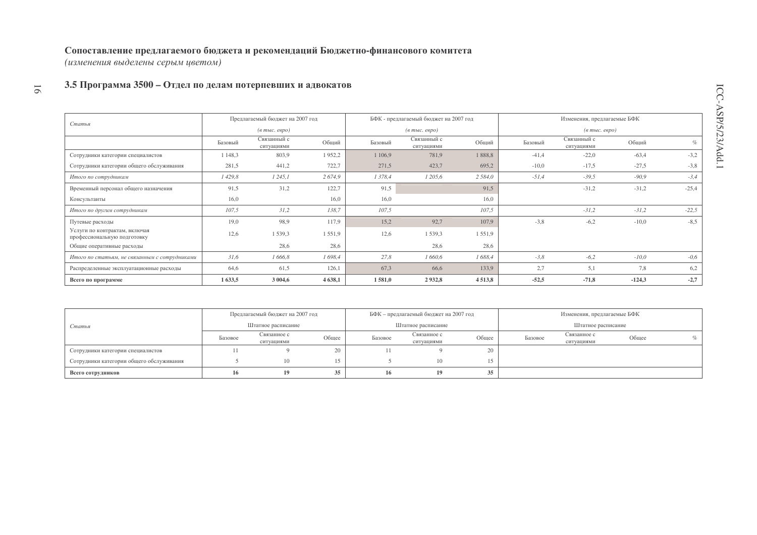(изменения выделены серым цветом)

#### 3.5 Программа 3500 - Отдел по делам потерпевших и адвокатов  $91$

|                                                              |         | Предлагаемый бюджет на 2007 год  |          |           | БФК - предлагаемый бюджет на 2007 год                       |           |         | Изменения, предлагаемые БФК                    |          |         |
|--------------------------------------------------------------|---------|----------------------------------|----------|-----------|-------------------------------------------------------------|-----------|---------|------------------------------------------------|----------|---------|
| Статья                                                       |         | $(a \text{ molc.} \text{~espo})$ |          |           | $(\epsilon$ m <sub>bl</sub> $c$ . $\epsilon$ e $\rho$ o $)$ |           |         | $(e$ m <sub>bl</sub> $c$ . $e$ $e$ $p$ $o$ $)$ |          |         |
|                                                              | Базовый | Связанный с<br>ситуациями        | Общий    | Базовый   | Связанный с<br>ситуациями                                   | Общий     | Базовый | Связанный с<br>ситуациями                      | Общий    | $\%$    |
| Сотрудники категории специалистов                            | 148,3   | 803,9                            | 1952,2   | 1 1 0 6,9 | 781,9                                                       | 1888,8    | $-41,4$ | $-22,0$                                        | $-63,4$  | $-3,2$  |
| Сотрудники категории общего обслуживания                     | 281,5   | 441,2                            | 722,7    | 271,5     | 423,7                                                       | 695,2     | $-10,0$ | $-17,5$                                        | $-27.5$  | $-3,8$  |
| Итого по сотрудникам                                         | 1 429,8 | 1245,1                           | 2674,9   | 1 378,4   | 1 205,6                                                     | 2 5 8 4 0 | $-51,4$ | $-39.5$                                        | $-90,9$  | $-3,4$  |
| Временный персонал общего назначения                         | 91,5    | 31,2                             | 122.7    | 91,5      |                                                             | 91.5      |         | $-31,2$                                        | $-31,2$  | $-25,4$ |
| Консультанты                                                 | 16,0    |                                  | 16,0     | 16,0      |                                                             | 16.0      |         |                                                |          |         |
| Итого по другим сотрудникам                                  | 107,5   | 31,2                             | 138,7    | 107,5     |                                                             | 107,5     |         | $-31,2$                                        | $-31,2$  | $-22,5$ |
| Путевые расходы                                              | 19,0    | 98,9                             | 117,9    | 15,2      | 92,7                                                        | 107,9     | $-3,8$  | $-6,2$                                         | $-10,0$  | $-8.5$  |
| Услуги по контрактам, включая<br>профессиональную подготовку | 12,6    | 1539,3                           | 1551,9   | 12,6      | 1539,3                                                      | 1551,9    |         |                                                |          |         |
| Общие оперативные расходы                                    |         | 28,6                             | 28,6     |           | 28,6                                                        | 28.6      |         |                                                |          |         |
| Итого по статьям, не связанным с сотрудниками                | 31,6    | 1 666,8                          | 1698,4   | 27,8      | 1 660,6                                                     | 1 688,4   | $-3,8$  | $-6,2$                                         | $-10,0$  | $-0,6$  |
| Распределенные эксплуатационные расходы                      | 64,6    | 61,5                             | 126,1    | 67,3      | 66,6                                                        | 133,9     | 2,7     | 5,1                                            | 7,8      | 6,2     |
| Всего по программе                                           | 1633,5  | 3 004,6                          | 4 6 38,1 | 1581,0    | 2932,8                                                      | 4513,8    | $-52,5$ | $-71,8$                                        | $-124,3$ | $-2,7$  |

|                                          |         | Предлагаемый бюджет на 2007 год |       |         | БФК – предлагаемый бюджет на 2007 год |        |         | Изменения, предлагаемые БФК |       |  |
|------------------------------------------|---------|---------------------------------|-------|---------|---------------------------------------|--------|---------|-----------------------------|-------|--|
| Статья                                   |         | Штатное расписание              |       |         | Штатное расписание                    |        |         | Штатное расписание          |       |  |
|                                          | Базовое | Связанное с<br>ситуациями       | Общее | Базовое | Связанное с<br>ситуациями             | Общее  | Базовое | Связанное с<br>ситуациями   | Общее |  |
| Сотрудники категории специалистов        |         |                                 | ZU.   |         |                                       | 20     |         |                             |       |  |
| Сотрудники категории общего обслуживания |         | l0                              | 15    |         | 10                                    | $15 -$ |         |                             |       |  |
| Всего сотрудников                        | 16      | 19                              | 35    | 16.     | 19                                    | 35     |         |                             |       |  |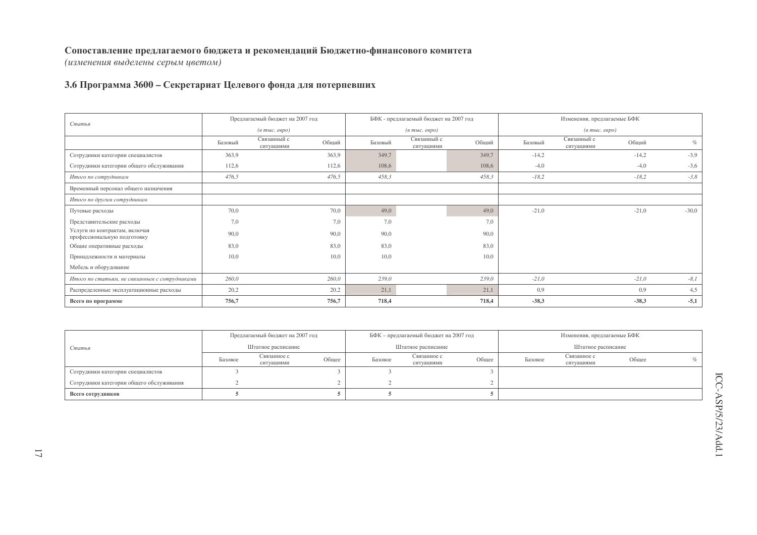(изменения выделены серым цветом)

#### 3.6 Программа 3600 – Секретариат Целевого фонда для потерпевших

|                                                              |         | Предлагаемый бюджет на 2007 год  |       |         | БФК - предлагаемый бюджет на 2007 год              |       |         | Изменения, предлагаемые БФК       |         |         |
|--------------------------------------------------------------|---------|----------------------------------|-------|---------|----------------------------------------------------|-------|---------|-----------------------------------|---------|---------|
| Статья                                                       |         | $(a \text{ molc.} \text{ espo})$ |       |         | $(\epsilon$ m <sub>bl</sub> c. $\epsilon$ egpo $)$ |       |         | $(a \text{ mole. } e \text{spo})$ |         |         |
|                                                              | Базовый | Связанный с<br>ситуациями        | Общий | Базовый | Связанный с<br>ситуациями                          | Общий | Базовый | Связанный с<br>ситуациями         | Общий   | $\%$    |
| Сотрудники категории специалистов                            | 363,9   |                                  | 363,9 | 349,7   |                                                    | 349,7 | $-14,2$ |                                   | $-14,2$ | $-3,9$  |
| Сотрудники категории общего обслуживания                     | 112,6   |                                  | 112,6 | 108,6   |                                                    | 108,6 | $-4,0$  |                                   | $-4,0$  | $-3,6$  |
| Итого по сотрудникам                                         | 476,5   |                                  | 476,5 | 458,3   |                                                    | 458,3 | $-18,2$ |                                   | $-18,2$ | $-3,8$  |
| Временный персонал общего назначения                         |         |                                  |       |         |                                                    |       |         |                                   |         |         |
| Итого по другим сотрудникам                                  |         |                                  |       |         |                                                    |       |         |                                   |         |         |
| Путевые расходы                                              | 70,0    |                                  | 70,0  | 49,0    |                                                    | 49,0  | $-21,0$ |                                   | $-21,0$ | $-30,0$ |
| Представительские расходы                                    | 7,0     |                                  | 7,0   | 7,0     |                                                    | 7,0   |         |                                   |         |         |
| Услуги по контрактам, включая<br>профессиональную подготовку | 90,0    |                                  | 90,0  | 90,0    |                                                    | 90,0  |         |                                   |         |         |
| Общие оперативные расходы                                    | 83,0    |                                  | 83,0  | 83,0    |                                                    | 83,0  |         |                                   |         |         |
| Принадлежности и материалы                                   | 10,0    |                                  | 10,0  | 10,0    |                                                    | 10,0  |         |                                   |         |         |
| Мебель и оборудование                                        |         |                                  |       |         |                                                    |       |         |                                   |         |         |
| Итого по статьям, не связанным с сотрудниками                | 260,0   |                                  | 260,0 | 239,0   |                                                    | 239,0 | $-21,0$ |                                   | $-21,0$ | $-8,1$  |
| Распределенные эксплуатационные расходы                      | 20,2    |                                  | 20,2  | 21,1    |                                                    | 21,1  | 0.9     |                                   | 0,9     | 4,5     |
| Всего по программе                                           | 756,7   |                                  | 756,7 | 718,4   |                                                    | 718,4 | $-38,3$ |                                   | $-38,3$ | $-5,1$  |

|                                          | Предлагаемый бюджет на 2007 год |                           |       |         | БФК - предлагаемый бюджет на 2007 год |       |         | Изменения, предлагаемые БФК |       |            |
|------------------------------------------|---------------------------------|---------------------------|-------|---------|---------------------------------------|-------|---------|-----------------------------|-------|------------|
| Статья                                   |                                 | Штатное расписание        |       |         | Штатное расписание                    |       |         | Штатное расписание          |       |            |
|                                          | Базовое                         | Связанное с<br>ситуациями | Общее | Базовое | Связанное с<br>ситуациями             | Общее | Базовое | Связанное с<br>ситуациями   | Общее | $C_{\ell}$ |
| Сотрудники категории специалистов        |                                 |                           |       |         |                                       |       |         |                             |       |            |
| Сотрудники категории общего обслуживания |                                 |                           |       |         |                                       |       |         |                             |       |            |
| Всего сотрудников                        |                                 |                           |       |         |                                       |       |         |                             |       |            |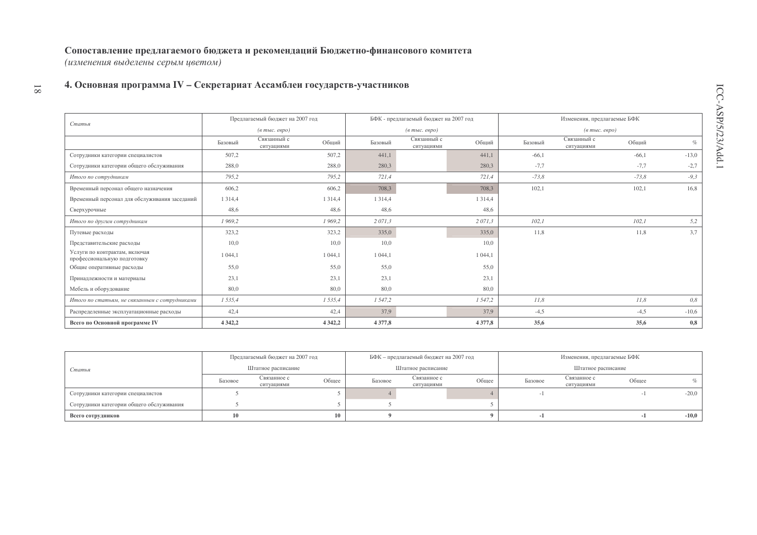(изменения выделены серым цветом)

 $\overline{\phantom{0}}8\overline{1}$ 

## 4. Основная программа IV - Секретариат Ассамблеи государств-участников

|                                                              |             | Предлагаемый бюджет на 2007 год |            |            | БФК - предлагаемый бюджет на 2007 год |            |         | Изменения, предлагаемые БФК                           |         |         |
|--------------------------------------------------------------|-------------|---------------------------------|------------|------------|---------------------------------------|------------|---------|-------------------------------------------------------|---------|---------|
| Статья                                                       |             | $(a$ тыс. евро)                 |            |            | $(e \text{ molc.} \text{ eepo})$      |            |         | $(\epsilon$ m <sub>bl</sub> $c$ . $\epsilon$ egpo $)$ |         |         |
|                                                              | Базовый     | Связанный с<br>ситуациями       | Общий      | Базовый    | Связанный с<br>ситуациями             | Общий      | Базовый | Связанный с<br>ситуациями                             | Общий   | $\%$    |
| Сотрудники категории специалистов                            | 507,2       |                                 | 507,2      | 441,1      |                                       | 441.1      | $-66,1$ |                                                       | $-66,1$ | $-13,0$ |
| Сотрудники категории общего обслуживания                     | 288,0       |                                 | 288,0      | 280,3      |                                       | 280,3      | $-7,7$  |                                                       | $-7,7$  | $-2,7$  |
| Итого по сотрудникам                                         | 795,2       |                                 | 795,2      | 721,4      |                                       | 721.4      | $-73,8$ |                                                       | $-73,8$ | $-9,3$  |
| Временный персонал общего назначения                         | 606,2       |                                 | 606,2      | 708,3      |                                       | 708,3      | 102,1   |                                                       | 102,1   | 16,8    |
| Временный персонал для обслуживания заседаний                | 1 3 1 4 .4  |                                 | 1 3 1 4 4  | 1 3 1 4 4  |                                       | 1 3 1 4 4  |         |                                                       |         |         |
| Сверхурочные                                                 | 48,6        |                                 | 48,6       | 48,6       |                                       | 48,6       |         |                                                       |         |         |
| Итого по другим сотрудникам                                  | 1 969,2     |                                 | 1969,2     | 2 071,3    |                                       | 2 071.3    | 102,1   |                                                       | 102,1   | 5,2     |
| Путевые расходы                                              | 323,2       |                                 | 323,2      | 335,0      |                                       | 335,0      | 11,8    |                                                       | 11,8    | 3,7     |
| Представительские расходы                                    | 10,0        |                                 | 10,0       | 10,0       |                                       | 10.0       |         |                                                       |         |         |
| Услуги по контрактам, включая<br>профессиональную подготовку | 1 044.1     |                                 | 1 044,1    | 1 0 4 4 1  |                                       | 1 044.1    |         |                                                       |         |         |
| Общие оперативные расходы                                    | 55,0        |                                 | 55,0       | 55,0       |                                       | 55,0       |         |                                                       |         |         |
| Принадлежности и материалы                                   | 23,1        |                                 | 23,1       | 23,1       |                                       | 23,1       |         |                                                       |         |         |
| Мебель и оборудование                                        | 80,0        |                                 | 80,0       | 80,0       |                                       | 80,0       |         |                                                       |         |         |
| Итого по статьям, не связанным с сотрудниками                | 1 535,4     |                                 | 1535,4     | 1 5 4 7, 2 |                                       | 1 5 4 7, 2 | II,8    |                                                       | 11,8    | 0,8     |
| Распределенные эксплуатационные расходы                      | 42,4        |                                 | 42,4       | 37,9       |                                       | 37,9       | $-4,5$  |                                                       | $-4,5$  | $-10,6$ |
| Всего по Основной программе IV                               | 4 3 4 2 , 2 |                                 | 4 3 4 2, 2 | 4 3 7 7, 8 |                                       | 4 3 7 7, 8 | 35,6    |                                                       | 35,6    | 0,8     |

|                                          |         | Предлагаемый бюджет на 2007 год |       |         | БФК - предлагаемый бюджет на 2007 год |       |         | Изменения, предлагаемые БФК |       |         |
|------------------------------------------|---------|---------------------------------|-------|---------|---------------------------------------|-------|---------|-----------------------------|-------|---------|
| Статья                                   |         | Штатное расписание              |       |         | Штатное расписание                    |       |         | Штатное расписание          |       |         |
|                                          | Базовое | Связанное с<br>ситуациями       | Общее | Базовое | Связанное с<br>ситуациями             | Общее | Базовое | Связанное с<br>ситуациями   | Общее |         |
| Сотрудники категории специалистов        |         |                                 |       |         |                                       |       |         |                             |       | $-20,0$ |
| Сотрудники категории общего обслуживания |         |                                 |       |         |                                       |       |         |                             |       |         |
| Всего сотрудников                        |         |                                 |       |         |                                       |       |         |                             | - 1   | $-10,0$ |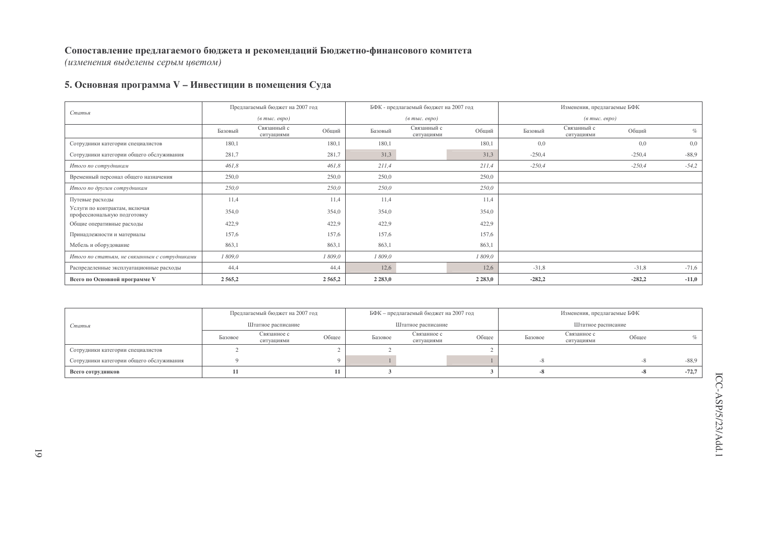(изменения выделены серым цветом)

## 5. Основная программа V - Инвестиции в помещения Суда

| Статья                                                       |         | Предлагаемый бюджет на 2007 год                         |         |             | БФК - предлагаемый бюджет на 2007 год              |             |          | Изменения, предлагаемые БФК       |          |         |
|--------------------------------------------------------------|---------|---------------------------------------------------------|---------|-------------|----------------------------------------------------|-------------|----------|-----------------------------------|----------|---------|
|                                                              |         | $(a \text{ mol.} \text{ e }\text{e}\text{ }p\text{ }o)$ |         |             | $(\epsilon$ m <sub>bl</sub> c. $\epsilon$ egpo $)$ |             |          | $(\textit{6 muc.} \textit{espo})$ |          |         |
|                                                              | Базовый | Связанный с<br>ситуациями                               | Общий   | Базовый     | Связанный с<br>ситуациями                          | Общий       | Базовый  | Связанный с<br>ситуациями         | Общий    | $\%$    |
| Сотрудники категории специалистов                            | 180,1   |                                                         | 180.1   | 180,1       |                                                    | 180.1       | 0.0      |                                   | 0,0      | 0,0     |
| Сотрудники категории общего обслуживания                     | 281,7   |                                                         | 281,7   | 31,3        |                                                    | 31,3        | $-250,4$ |                                   | $-250,4$ | $-88,9$ |
| Итого по сотрудникам                                         | 461,8   |                                                         | 461,8   | 211,4       |                                                    | 211,4       | $-250,4$ |                                   | $-250,4$ | $-54,2$ |
| Временный персонал общего назначения                         | 250,0   |                                                         | 250,0   | 250,0       |                                                    | 250,0       |          |                                   |          |         |
| Итого по другим сотрудникам                                  | 250,0   |                                                         | 250,0   | 250,0       |                                                    | 250,0       |          |                                   |          |         |
| Путевые расходы                                              | 11,4    |                                                         | 11.4    | 11,4        |                                                    | 11.4        |          |                                   |          |         |
| Услуги по контрактам, включая<br>профессиональную подготовку | 354,0   |                                                         | 354,0   | 354,0       |                                                    | 354,0       |          |                                   |          |         |
| Общие оперативные расходы                                    | 422,9   |                                                         | 422,9   | 422,9       |                                                    | 422.9       |          |                                   |          |         |
| Принадлежности и материалы                                   | 157,6   |                                                         | 157,6   | 157,6       |                                                    | 157,6       |          |                                   |          |         |
| Мебель и оборудование                                        | 863,1   |                                                         | 863,1   | 863,1       |                                                    | 863,1       |          |                                   |          |         |
| Итого по статьям, не связанным с сотрудниками                | 1 809,0 |                                                         | 1 809,0 | 1 809,0     |                                                    | 1 809,0     |          |                                   |          |         |
| Распределенные эксплуатационные расходы                      | 44,4    |                                                         | 44,4    | 12,6        |                                                    | 12,6        | $-31,8$  |                                   | $-31,8$  | $-71,6$ |
| Всего по Основной программе V                                | 2565,2  |                                                         | 2565,2  | 2 2 8 3 , 0 |                                                    | 2 2 8 3 , 0 | $-282,2$ |                                   | $-282,2$ | $-11,0$ |

|                                          |         | Предлагаемый бюджет на 2007 год |       |         | БФК - предлагаемый бюджет на 2007 год |       |         | Изменения, предлагаемые БФК |       |         |
|------------------------------------------|---------|---------------------------------|-------|---------|---------------------------------------|-------|---------|-----------------------------|-------|---------|
| Статья                                   |         | Штатное расписание              |       |         | Штатное расписание                    |       |         | Штатное расписание          |       |         |
|                                          | Базовое | Связанное с<br>ситуациями       | Общее | Базовое | Связанное с<br>ситуациями             | Общее | Базовое | Связанное с<br>ситуациями   | Общее |         |
| Сотрудники категории специалистов        |         |                                 |       |         |                                       |       |         |                             |       |         |
| Сотрудники категории общего обслуживания |         |                                 |       |         |                                       |       |         |                             | -^    | $-88,9$ |
| Всего сотрудников                        |         |                                 |       |         |                                       |       |         |                             | -8    | $-72,7$ |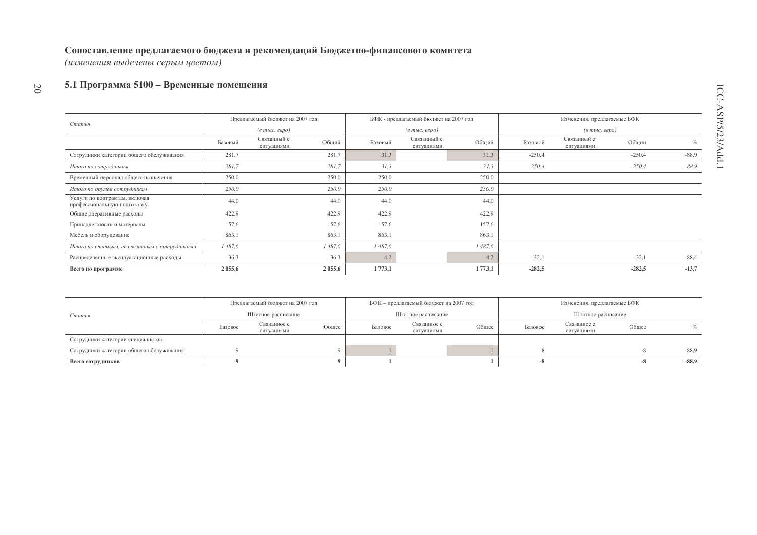(изменения выделены серым цветом)

#### 2 0 5.1 Программа 5100 – Временные помещения

| Статья                                                       | Предлагаемый бюджет на 2007 год |                           |        |         | БФК - предлагаемый бюджет на 2007 год              |         | Изменения, предлагаемые БФК |                                        |          |         |
|--------------------------------------------------------------|---------------------------------|---------------------------|--------|---------|----------------------------------------------------|---------|-----------------------------|----------------------------------------|----------|---------|
|                                                              |                                 | $(a$ тыс. евро)           |        |         | $(a \text{ mol.} \text{~e} \text{~e} \text{~p}$ о) |         |                             | $(e$ m <sub>bl</sub> $c$ . $e$ e $po)$ |          |         |
|                                                              | Базовый                         | Связанный с<br>ситуациями | Общий  | Базовый | Связанный с<br>ситуациями                          | Общий   | Базовый                     | Связанный с<br>ситуациями              | Общий    | $\%$    |
| Сотрудники категории общего обслуживания                     | 281,7                           |                           | 281,7  | 31,3    |                                                    | 31,3    | $-250,4$                    |                                        | $-250,4$ | $-88,9$ |
| Итого по сотрудникам                                         | 281,7                           |                           | 281,7  | 31,3    |                                                    | 31.3    | $-250,4$                    |                                        | $-250,4$ | $-88,9$ |
| Временный персонал общего назначения                         | 250,0                           |                           | 250,0  | 250,0   |                                                    | 250,0   |                             |                                        |          |         |
| Итого по другим сотрудникам                                  | 250,0                           |                           | 250,0  | 250,0   |                                                    | 250,0   |                             |                                        |          |         |
| Услуги по контрактам, включая<br>профессиональную подготовку | 44,0                            |                           | 44.0   | 44,0    |                                                    | 44,0    |                             |                                        |          |         |
| Общие оперативные расходы                                    | 422,9                           |                           | 422,9  | 422,9   |                                                    | 422,9   |                             |                                        |          |         |
| Принадлежности и материалы                                   | 157,6                           |                           | 157,6  | 157,6   |                                                    | 157.6   |                             |                                        |          |         |
| Мебель и оборудование                                        | 863,1                           |                           | 863,1  | 863,1   |                                                    | 863.1   |                             |                                        |          |         |
| Итого по статьям, не связанным с сотрудниками                | 1487,6                          |                           | 1487,6 | 1487,6  |                                                    | 1487,6  |                             |                                        |          |         |
| Распределенные эксплуатационные расходы                      | 36,3                            |                           | 36,3   | 4,2     |                                                    | 4.2     | $-32,1$                     |                                        | $-32,1$  | $-88,4$ |
| Всего по программе                                           | 2 0 5 5 , 6                     |                           | 2055,6 | 1 773,1 |                                                    | 1 773,1 | $-282,5$                    |                                        | $-282,5$ | $-13,7$ |

|                                          | Предлагаемый бюджет на 2007 год |                           |       | БФК – предлагаемый бюджет на 2007 год |                           |       | Изменения, предлагаемые БФК |                           |       |            |
|------------------------------------------|---------------------------------|---------------------------|-------|---------------------------------------|---------------------------|-------|-----------------------------|---------------------------|-------|------------|
| Статья                                   | Штатное расписание              |                           |       | Штатное расписание                    |                           |       | Штатное расписание          |                           |       |            |
|                                          | Базовое                         | Связанное с<br>ситуациями | Общее | Базовое                               | Связанное с<br>ситуациями | Общее | Базовое                     | Связанное с<br>ситуациями | Общее | $C_{\ell}$ |
| Сотрудники категории специалистов        |                                 |                           |       |                                       |                           |       |                             |                           |       |            |
| Сотрудники категории общего обслуживания |                                 |                           |       |                                       |                           |       | -л                          |                           | -8    | $-88,9$    |
| Всего сотрудников                        |                                 |                           |       |                                       |                           |       | -0                          |                           | -8    | $-88,9$    |